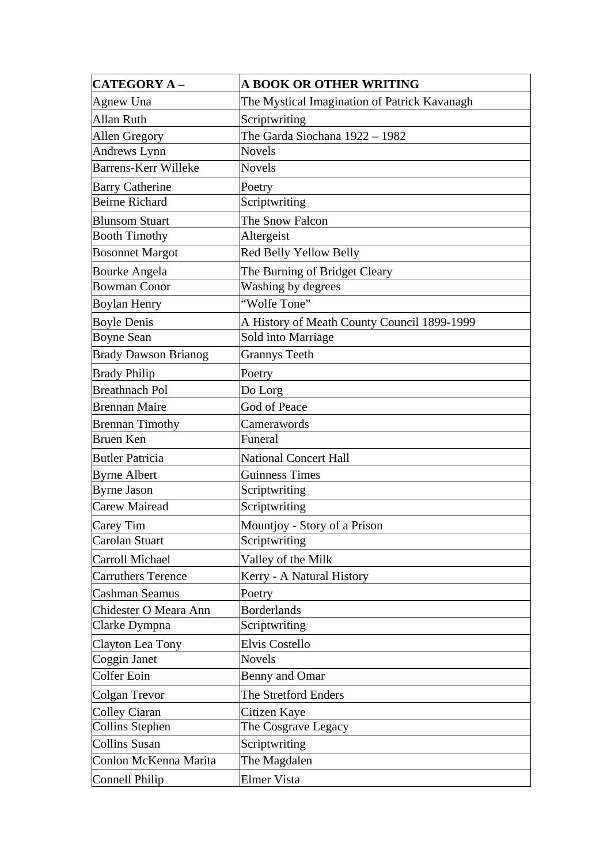| <b>CATEGORY A -</b>         | <b>A BOOK OR OTHER WRITING</b>               |
|-----------------------------|----------------------------------------------|
| Agnew Una                   | The Mystical Imagination of Patrick Kavanagh |
| <b>Allan Ruth</b>           | Scriptwriting                                |
| Allen Gregory               | The Garda Siochana 1922 - 1982               |
| Andrews Lynn                | <b>Novels</b>                                |
| <b>Barrens-Kerr Willeke</b> | <b>Novels</b>                                |
| <b>Barry Catherine</b>      | Poetry                                       |
| <b>Beirne Richard</b>       | Scriptwriting                                |
| <b>Blunsom Stuart</b>       | The Snow Falcon                              |
| <b>Booth Timothy</b>        | Altergeist                                   |
| <b>Bosonnet Margot</b>      | Red Belly Yellow Belly                       |
| <b>Bourke Angela</b>        | The Burning of Bridget Cleary                |
| <b>Bowman Conor</b>         | Washing by degrees                           |
| <b>Boylan Henry</b>         | "Wolfe Tone"                                 |
| <b>Boyle Denis</b>          | A History of Meath County Council 1899-1999  |
| <b>Boyne Sean</b>           | Sold into Marriage                           |
| <b>Brady Dawson Brianog</b> | <b>Grannys Teeth</b>                         |
| <b>Brady Philip</b>         | Poetry                                       |
| <b>Breathnach Pol</b>       | Do Lorg                                      |
| <b>Brennan Maire</b>        | God of Peace                                 |
| <b>Brennan Timothy</b>      | Camerawords                                  |
| <b>Bruen Ken</b>            | Funeral                                      |
| <b>Butler Patricia</b>      | <b>National Concert Hall</b>                 |
| <b>Byrne Albert</b>         | <b>Guinness Times</b>                        |
| <b>Byrne Jason</b>          | Scriptwriting                                |
| Carew Mairead               | Scriptwriting                                |
| Carey Tim                   | Mountjoy - Story of a Prison                 |
| Carolan Stuart              | Scriptwriting                                |
| Carroll Michael             | Valley of the Milk                           |
| <b>Carruthers Terence</b>   | Kerry - A Natural History                    |
| Cashman Seamus              | Poetry                                       |
| Chidester O Meara Ann       | <b>Borderlands</b>                           |
| Clarke Dympna               | Scriptwriting                                |
| Clayton Lea Tony            | Elvis Costello                               |
| Coggin Janet                | <b>Novels</b>                                |
| <b>Colfer Eoin</b>          | <b>Benny and Omar</b>                        |
| Colgan Trevor               | The Stretford Enders                         |
| Colley Ciaran               | Citizen Kaye                                 |
| <b>Collins Stephen</b>      | The Cosgrave Legacy                          |
| <b>Collins Susan</b>        | Scriptwriting                                |
| Conlon McKenna Marita       | The Magdalen                                 |
| Connell Philip              | Elmer Vista                                  |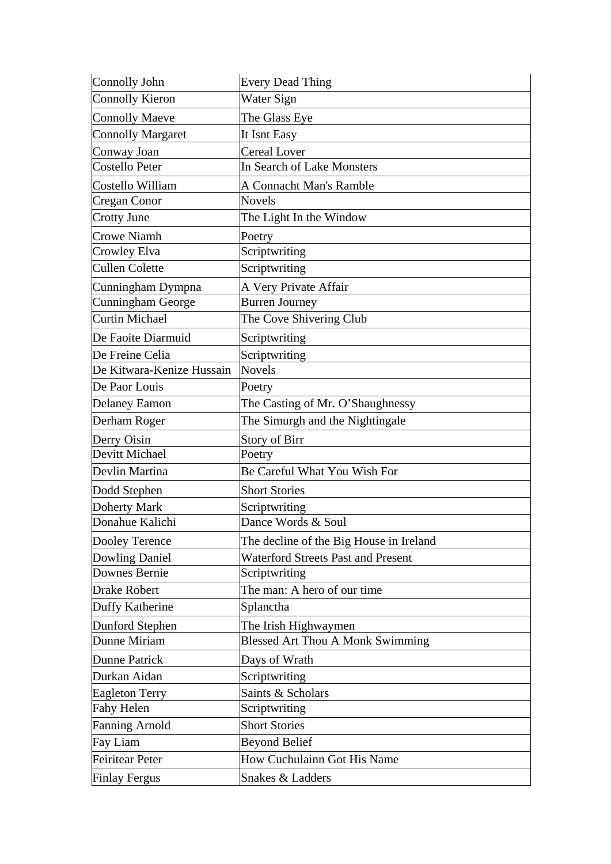| Connolly John             | <b>Every Dead Thing</b>                   |
|---------------------------|-------------------------------------------|
| <b>Connolly Kieron</b>    | Water Sign                                |
| <b>Connolly Maeve</b>     | The Glass Eye                             |
| <b>Connolly Margaret</b>  | It Isnt Easy                              |
| Conway Joan               | <b>Cereal Lover</b>                       |
| Costello Peter            | In Search of Lake Monsters                |
| Costello William          | A Connacht Man's Ramble                   |
| Cregan Conor              | <b>Novels</b>                             |
| Crotty June               | The Light In the Window                   |
| Crowe Niamh               | Poetry                                    |
| Crowley Elva              | Scriptwriting                             |
| <b>Cullen Colette</b>     | Scriptwriting                             |
| Cunningham Dympna         | A Very Private Affair                     |
| Cunningham George         | <b>Burren Journey</b>                     |
| Curtin Michael            | The Cove Shivering Club                   |
| De Faoite Diarmuid        | Scriptwriting                             |
| De Freine Celia           | Scriptwriting                             |
| De Kitwara-Kenize Hussain | <b>Novels</b>                             |
| De Paor Louis             | Poetry                                    |
| <b>Delaney Eamon</b>      | The Casting of Mr. O'Shaughnessy          |
| Derham Roger              | The Simurgh and the Nightingale           |
|                           |                                           |
| Derry Oisin               | Story of Birr                             |
| Devitt Michael            | Poetry                                    |
| Devlin Martina            | Be Careful What You Wish For              |
| Dodd Stephen              | <b>Short Stories</b>                      |
| Doherty Mark              | Scriptwriting                             |
| Donahue Kalichi           | Dance Words & Soul                        |
| Dooley Terence            | The decline of the Big House in Ireland   |
| Dowling Daniel            | <b>Waterford Streets Past and Present</b> |
| Downes Bernie             | Scriptwriting                             |
| Drake Robert              | The man: A hero of our time               |
| Duffy Katherine           | Splanctha                                 |
| Dunford Stephen           | The Irish Highwaymen                      |
| Dunne Miriam              | <b>Blessed Art Thou A Monk Swimming</b>   |
| Dunne Patrick             | Days of Wrath                             |
| Durkan Aidan              | Scriptwriting                             |
| <b>Eagleton Terry</b>     | Saints & Scholars                         |
| <b>Fahy Helen</b>         | Scriptwriting                             |
| <b>Fanning Arnold</b>     | <b>Short Stories</b>                      |
| Fay Liam                  | <b>Beyond Belief</b>                      |
| <b>Feiritear Peter</b>    | How Cuchulainn Got His Name               |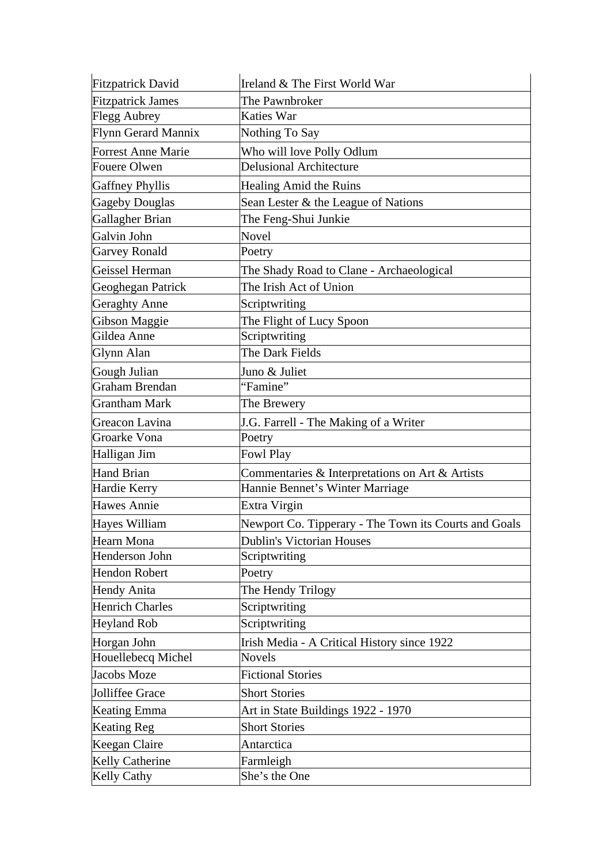| <b>Fitzpatrick David</b>  | Ireland & The First World War                         |
|---------------------------|-------------------------------------------------------|
| <b>Fitzpatrick James</b>  | The Pawnbroker                                        |
| <b>Flegg Aubrey</b>       | <b>Katies War</b>                                     |
| Flynn Gerard Mannix       | Nothing To Say                                        |
| <b>Forrest Anne Marie</b> | Who will love Polly Odlum                             |
| Fouere Olwen              | <b>Delusional Architecture</b>                        |
| <b>Gaffney Phyllis</b>    | Healing Amid the Ruins                                |
| <b>Gageby Douglas</b>     | Sean Lester & the League of Nations                   |
| Gallagher Brian           | The Feng-Shui Junkie                                  |
| Galvin John               | Novel                                                 |
| <b>Garvey Ronald</b>      | Poetry                                                |
| Geissel Herman            | The Shady Road to Clane - Archaeological              |
| Geoghegan Patrick         | The Irish Act of Union                                |
| <b>Geraghty Anne</b>      | Scriptwriting                                         |
| Gibson Maggie             | The Flight of Lucy Spoon                              |
| Gildea Anne               | Scriptwriting                                         |
| Glynn Alan                | The Dark Fields                                       |
| Gough Julian              | Juno & Juliet                                         |
| Graham Brendan            | "Famine"                                              |
| <b>Grantham Mark</b>      | The Brewery                                           |
| Greacon Lavina            | J.G. Farrell - The Making of a Writer                 |
| Groarke Vona              | Poetry                                                |
| Halligan Jim              | Fowl Play                                             |
| <b>Hand Brian</b>         | Commentaries & Interpretations on Art & Artists       |
| Hardie Kerry              | Hannie Bennet's Winter Marriage                       |
| Hawes Annie               | Extra Virgin                                          |
| Hayes William             | Newport Co. Tipperary - The Town its Courts and Goals |
| Hearn Mona                | <b>Dublin's Victorian Houses</b>                      |
| Henderson John            | Scriptwriting                                         |
| <b>Hendon Robert</b>      | Poetry                                                |
| <b>Hendy Anita</b>        | The Hendy Trilogy                                     |
| <b>Henrich Charles</b>    | Scriptwriting                                         |
| <b>Heyland Rob</b>        | Scriptwriting                                         |
| Horgan John               | Irish Media - A Critical History since 1922           |
| Houellebecq Michel        | <b>Novels</b>                                         |
| <b>Jacobs Moze</b>        | <b>Fictional Stories</b>                              |
| Jolliffee Grace           | <b>Short Stories</b>                                  |
| <b>Keating Emma</b>       | Art in State Buildings 1922 - 1970                    |
| <b>Keating Reg</b>        | <b>Short Stories</b>                                  |
| Keegan Claire             | Antarctica                                            |
| Kelly Catherine           | Farmleigh                                             |
| Kelly Cathy               | She's the One                                         |
|                           |                                                       |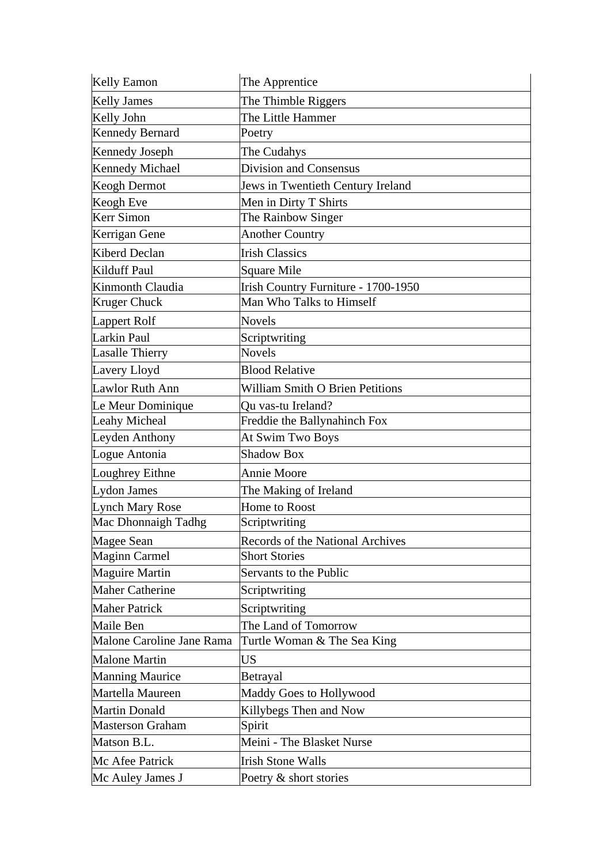| <b>Kelly Eamon</b>        | The Apprentice                         |
|---------------------------|----------------------------------------|
| <b>Kelly James</b>        | The Thimble Riggers                    |
| Kelly John                | The Little Hammer                      |
| <b>Kennedy Bernard</b>    | Poetry                                 |
| <b>Kennedy Joseph</b>     | The Cudahys                            |
| <b>Kennedy Michael</b>    | Division and Consensus                 |
| Keogh Dermot              | Jews in Twentieth Century Ireland      |
| Keogh Eve                 | Men in Dirty T Shirts                  |
| Kerr Simon                | The Rainbow Singer                     |
| Kerrigan Gene             | <b>Another Country</b>                 |
| Kiberd Declan             | <b>Irish Classics</b>                  |
| Kilduff Paul              | Square Mile                            |
| Kinmonth Claudia          | Irish Country Furniture - 1700-1950    |
| <b>Kruger Chuck</b>       | Man Who Talks to Himself               |
| Lappert Rolf              | <b>Novels</b>                          |
| Larkin Paul               | Scriptwriting                          |
| <b>Lasalle Thierry</b>    | <b>Novels</b>                          |
| Lavery Lloyd              | <b>Blood Relative</b>                  |
| Lawlor Ruth Ann           | <b>William Smith O Brien Petitions</b> |
| Le Meur Dominique         | Qu vas-tu Ireland?                     |
| <b>Leahy Micheal</b>      | Freddie the Ballynahinch Fox           |
| Leyden Anthony            | At Swim Two Boys                       |
| Logue Antonia             | <b>Shadow Box</b>                      |
| Loughrey Eithne           | <b>Annie Moore</b>                     |
| Lydon James               | The Making of Ireland                  |
| <b>Lynch Mary Rose</b>    | Home to Roost                          |
| Mac Dhonnaigh Tadhg       | Scriptwriting                          |
| Magee Sean                | Records of the National Archives       |
| <b>Maginn Carmel</b>      | <b>Short Stories</b>                   |
| <b>Maguire Martin</b>     | Servants to the Public                 |
| <b>Maher Catherine</b>    | Scriptwriting                          |
| <b>Maher Patrick</b>      | Scriptwriting                          |
| Maile Ben                 | The Land of Tomorrow                   |
| Malone Caroline Jane Rama | Turtle Woman & The Sea King            |
| <b>Malone Martin</b>      | <b>US</b>                              |
| <b>Manning Maurice</b>    | Betrayal                               |
| Martella Maureen          | Maddy Goes to Hollywood                |
| <b>Martin Donald</b>      | Killybegs Then and Now                 |
| <b>Masterson Graham</b>   | Spirit                                 |
| Matson B.L.               | Meini - The Blasket Nurse              |
| Mc Afee Patrick           | <b>Irish Stone Walls</b>               |
| Mc Auley James J          | Poetry & short stories                 |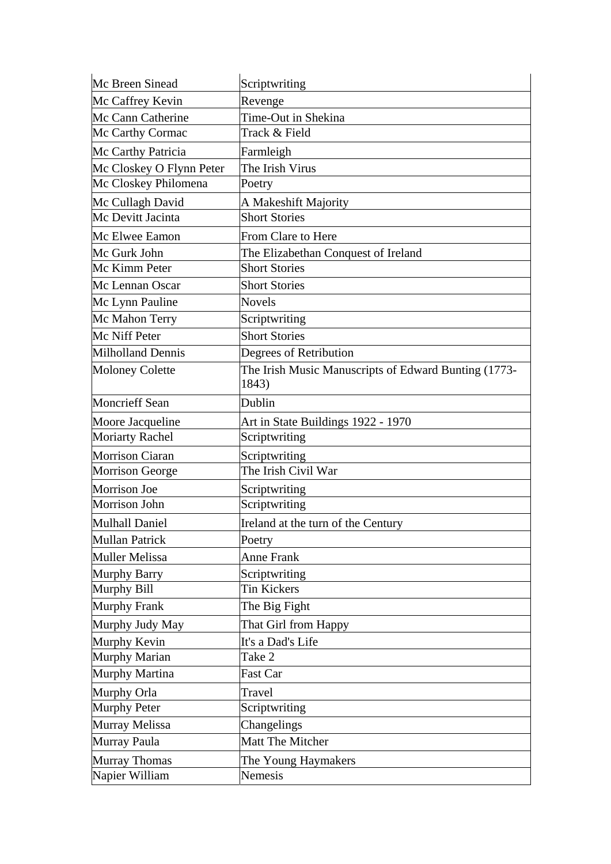| Mc Breen Sinead          | Scriptwriting                                        |
|--------------------------|------------------------------------------------------|
| Mc Caffrey Kevin         | Revenge                                              |
| Mc Cann Catherine        | Time-Out in Shekina                                  |
| Mc Carthy Cormac         | Track & Field                                        |
| Mc Carthy Patricia       | Farmleigh                                            |
| Mc Closkey O Flynn Peter | The Irish Virus                                      |
| Mc Closkey Philomena     | Poetry                                               |
| Mc Cullagh David         | A Makeshift Majority                                 |
| Mc Devitt Jacinta        | <b>Short Stories</b>                                 |
| Mc Elwee Eamon           | <b>From Clare to Here</b>                            |
| Mc Gurk John             | The Elizabethan Conquest of Ireland                  |
| Mc Kimm Peter            | <b>Short Stories</b>                                 |
| Mc Lennan Oscar          | <b>Short Stories</b>                                 |
| Mc Lynn Pauline          | <b>Novels</b>                                        |
| Mc Mahon Terry           | Scriptwriting                                        |
| Mc Niff Peter            | <b>Short Stories</b>                                 |
| <b>Milholland Dennis</b> | Degrees of Retribution                               |
| <b>Moloney Colette</b>   | The Irish Music Manuscripts of Edward Bunting (1773- |
|                          | 1843)                                                |
| <b>Moncrieff Sean</b>    | Dublin                                               |
| Moore Jacqueline         | Art in State Buildings 1922 - 1970                   |
| <b>Moriarty Rachel</b>   | Scriptwriting                                        |
| <b>Morrison Ciaran</b>   | Scriptwriting                                        |
| Morrison George          | The Irish Civil War                                  |
| Morrison Joe             | Scriptwriting                                        |
| Morrison John            | Scriptwriting                                        |
| <b>Mulhall Daniel</b>    | Ireland at the turn of the Century                   |
| <b>Mullan Patrick</b>    | Poetry                                               |
| <b>Muller Melissa</b>    | <b>Anne Frank</b>                                    |
| Murphy Barry             | Scriptwriting                                        |
| Murphy Bill              | Tin Kickers                                          |
| Murphy Frank             | The Big Fight                                        |
| Murphy Judy May          | That Girl from Happy                                 |
| Murphy Kevin             | It's a Dad's Life                                    |
| Murphy Marian            | Take 2                                               |
| Murphy Martina           | Fast Car                                             |
| Murphy Orla              | Travel                                               |
| <b>Murphy Peter</b>      | Scriptwriting                                        |
| Murray Melissa           | Changelings                                          |
| Murray Paula             | Matt The Mitcher                                     |
| <b>Murray Thomas</b>     | The Young Haymakers                                  |
| Napier William           | Nemesis                                              |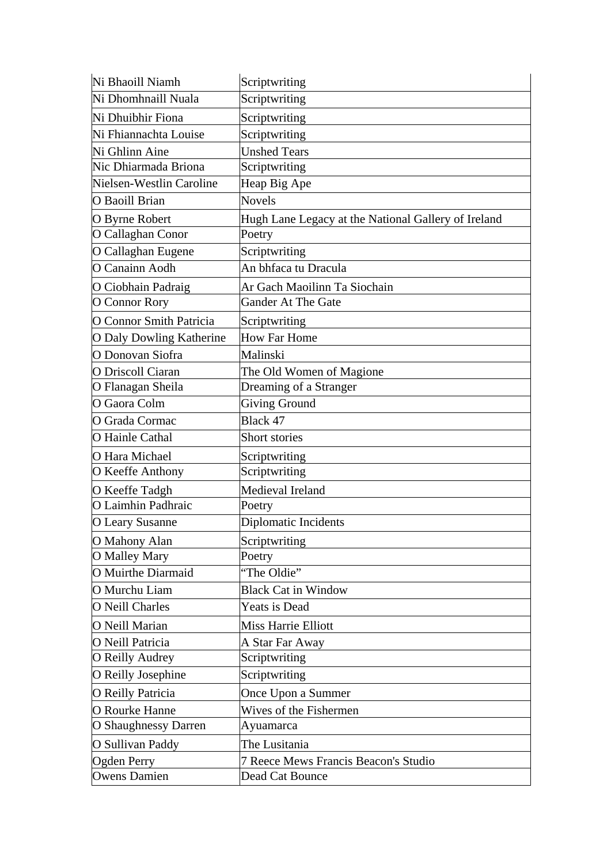| Ni Bhaoill Niamh                | Scriptwriting                                       |
|---------------------------------|-----------------------------------------------------|
| Ni Dhomhnaill Nuala             | Scriptwriting                                       |
| Ni Dhuibhir Fiona               | Scriptwriting                                       |
| Ni Fhiannachta Louise           | Scriptwriting                                       |
| Ni Ghlinn Aine                  | <b>Unshed Tears</b>                                 |
| Nic Dhiarmada Briona            | Scriptwriting                                       |
| Nielsen-Westlin Caroline        | Heap Big Ape                                        |
| O Baoill Brian                  | <b>Novels</b>                                       |
| O Byrne Robert                  | Hugh Lane Legacy at the National Gallery of Ireland |
| O Callaghan Conor               | Poetry                                              |
| O Callaghan Eugene              | Scriptwriting                                       |
| O Canainn Aodh                  | An bhfaca tu Dracula                                |
| O Ciobhain Padraig              | Ar Gach Maoilinn Ta Siochain                        |
| O Connor Rory                   | <b>Gander At The Gate</b>                           |
| O Connor Smith Patricia         | Scriptwriting                                       |
| <b>O Daly Dowling Katherine</b> | <b>How Far Home</b>                                 |
| O Donovan Siofra                | Malinski                                            |
| O Driscoll Ciaran               | The Old Women of Magione                            |
| O Flanagan Sheila               | Dreaming of a Stranger                              |
| O Gaora Colm                    | <b>Giving Ground</b>                                |
| O Grada Cormac                  | Black 47                                            |
| O Hainle Cathal                 | Short stories                                       |
| O Hara Michael                  | Scriptwriting                                       |
| O Keeffe Anthony                | Scriptwriting                                       |
| O Keeffe Tadgh                  | Medieval Ireland                                    |
| O Laimhin Padhraic              | Poetry                                              |
| <b>O Leary Susanne</b>          | <b>Diplomatic Incidents</b>                         |
| O Mahony Alan                   | Scriptwriting                                       |
| O Malley Mary                   | Poetry                                              |
| O Muirthe Diarmaid              | "The Oldie"                                         |
| O Murchu Liam                   | <b>Black Cat in Window</b>                          |
| <b>O</b> Neill Charles          | Yeats is Dead                                       |
| O Neill Marian                  | <b>Miss Harrie Elliott</b>                          |
| O Neill Patricia                | A Star Far Away                                     |
| O Reilly Audrey                 | Scriptwriting                                       |
| O Reilly Josephine              | Scriptwriting                                       |
| <b>O</b> Reilly Patricia        | Once Upon a Summer                                  |
| O Rourke Hanne                  | Wives of the Fishermen                              |
| <b>O</b> Shaughnessy Darren     | Ayuamarca                                           |
| O Sullivan Paddy                | The Lusitania                                       |
| Ogden Perry                     | 7 Reece Mews Francis Beacon's Studio                |
| <b>Owens Damien</b>             | Dead Cat Bounce                                     |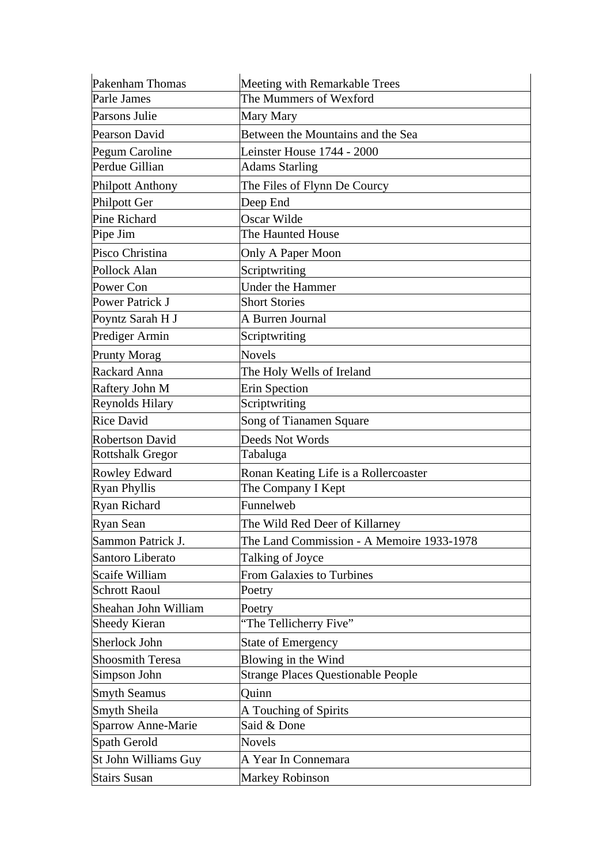| <b>Pakenham Thomas</b>    | Meeting with Remarkable Trees             |
|---------------------------|-------------------------------------------|
| Parle James               | The Mummers of Wexford                    |
| Parsons Julie             | Mary Mary                                 |
| Pearson David             | Between the Mountains and the Sea         |
| Pegum Caroline            | Leinster House 1744 - 2000                |
| Perdue Gillian            | <b>Adams Starling</b>                     |
| <b>Philpott Anthony</b>   | The Files of Flynn De Courcy              |
| <b>Philpott Ger</b>       | Deep End                                  |
| Pine Richard              | Oscar Wilde                               |
| Pipe Jim                  | The Haunted House                         |
| Pisco Christina           | Only A Paper Moon                         |
| Pollock Alan              | Scriptwriting                             |
| Power Con                 | <b>Under the Hammer</b>                   |
| Power Patrick J           | <b>Short Stories</b>                      |
| Poyntz Sarah H J          | A Burren Journal                          |
| Prediger Armin            | Scriptwriting                             |
| <b>Prunty Morag</b>       | <b>Novels</b>                             |
| Rackard Anna              | The Holy Wells of Ireland                 |
| Raftery John M            | <b>Erin Spection</b>                      |
| Reynolds Hilary           | Scriptwriting                             |
| <b>Rice David</b>         | Song of Tianamen Square                   |
| <b>Robertson David</b>    | Deeds Not Words                           |
| <b>Rottshalk Gregor</b>   | Tabaluga                                  |
| <b>Rowley Edward</b>      | Ronan Keating Life is a Rollercoaster     |
| <b>Ryan Phyllis</b>       | The Company I Kept                        |
| Ryan Richard              | Funnelweb                                 |
| Ryan Sean                 | The Wild Red Deer of Killarney            |
| Sammon Patrick J.         | The Land Commission - A Memoire 1933-1978 |
| Santoro Liberato          | Talking of Joyce                          |
| Scaife William            | <b>From Galaxies to Turbines</b>          |
| <b>Schrott Raoul</b>      | Poetry                                    |
| Sheahan John William      | Poetry                                    |
| <b>Sheedy Kieran</b>      | 'The Tellicherry Five"                    |
| Sherlock John             | <b>State of Emergency</b>                 |
| <b>Shoosmith Teresa</b>   | Blowing in the Wind                       |
| Simpson John              | <b>Strange Places Questionable People</b> |
| <b>Smyth Seamus</b>       | Quinn                                     |
| Smyth Sheila              | A Touching of Spirits                     |
| <b>Sparrow Anne-Marie</b> | Said & Done                               |
| Spath Gerold              | <b>Novels</b>                             |
| St John Williams Guy      | A Year In Connemara                       |
| <b>Stairs Susan</b>       | <b>Markey Robinson</b>                    |
|                           |                                           |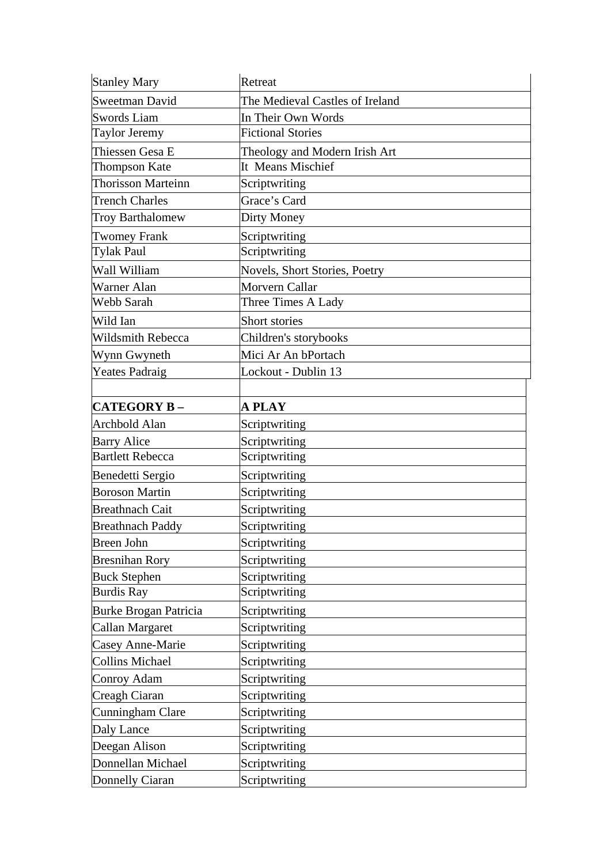| <b>Stanley Mary</b>          | Retreat                         |
|------------------------------|---------------------------------|
| Sweetman David               | The Medieval Castles of Ireland |
| <b>Swords Liam</b>           | In Their Own Words              |
| <b>Taylor Jeremy</b>         | <b>Fictional Stories</b>        |
| Thiessen Gesa E              | Theology and Modern Irish Art   |
| <b>Thompson Kate</b>         | It Means Mischief               |
| <b>Thorisson Marteinn</b>    | Scriptwriting                   |
| Trench Charles               | Grace's Card                    |
| <b>Troy Barthalomew</b>      | Dirty Money                     |
| <b>Twomey Frank</b>          | Scriptwriting                   |
| <b>Tylak Paul</b>            | Scriptwriting                   |
| Wall William                 | Novels, Short Stories, Poetry   |
| Warner Alan                  | Morvern Callar                  |
| Webb Sarah                   | Three Times A Lady              |
| Wild Ian                     | Short stories                   |
| Wildsmith Rebecca            | Children's storybooks           |
| Wynn Gwyneth                 | Mici Ar An bPortach             |
| <b>Yeates Padraig</b>        | Lockout - Dublin 13             |
|                              |                                 |
| <b>CATEGORY B-</b>           | A PLAY                          |
| <b>Archbold Alan</b>         | Scriptwriting                   |
| <b>Barry Alice</b>           | Scriptwriting                   |
| <b>Bartlett Rebecca</b>      | Scriptwriting                   |
| Benedetti Sergio             | Scriptwriting                   |
| <b>Boroson Martin</b>        | Scriptwriting                   |
| <b>Breathnach Cait</b>       | Scriptwriting                   |
| <b>Breathnach Paddy</b>      | Scriptwriting                   |
| <b>Breen John</b>            | Scriptwriting                   |
| <b>Bresnihan Rory</b>        | Scriptwriting                   |
| <b>Buck Stephen</b>          | Scriptwriting                   |
| <b>Burdis Ray</b>            | Scriptwriting                   |
| <b>Burke Brogan Patricia</b> | Scriptwriting                   |
| Callan Margaret              | Scriptwriting                   |
| Casey Anne-Marie             | Scriptwriting                   |
| <b>Collins Michael</b>       | Scriptwriting                   |
| Conroy Adam                  | Scriptwriting                   |
| Creagh Ciaran                | Scriptwriting                   |
| Cunningham Clare             | Scriptwriting                   |
| Daly Lance                   | Scriptwriting                   |
| Deegan Alison                | Scriptwriting                   |
| Donnellan Michael            | Scriptwriting                   |
| Donnelly Ciaran              | Scriptwriting                   |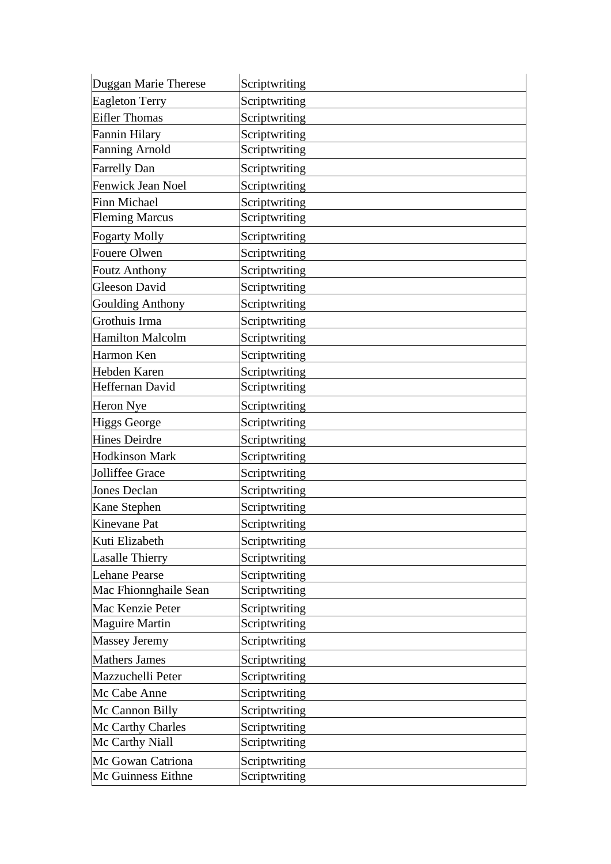| Duggan Marie Therese     | Scriptwriting |
|--------------------------|---------------|
| <b>Eagleton Terry</b>    | Scriptwriting |
| <b>Eifler Thomas</b>     | Scriptwriting |
| Fannin Hilary            | Scriptwriting |
| <b>Fanning Arnold</b>    | Scriptwriting |
| <b>Farrelly Dan</b>      | Scriptwriting |
| <b>Fenwick Jean Noel</b> | Scriptwriting |
| Finn Michael             | Scriptwriting |
| <b>Fleming Marcus</b>    | Scriptwriting |
| <b>Fogarty Molly</b>     | Scriptwriting |
| Fouere Olwen             | Scriptwriting |
| <b>Foutz Anthony</b>     | Scriptwriting |
| <b>Gleeson David</b>     | Scriptwriting |
| <b>Goulding Anthony</b>  | Scriptwriting |
| Grothuis Irma            | Scriptwriting |
| <b>Hamilton Malcolm</b>  | Scriptwriting |
| Harmon Ken               | Scriptwriting |
| Hebden Karen             | Scriptwriting |
| Heffernan David          | Scriptwriting |
| Heron Nye                | Scriptwriting |
| <b>Higgs George</b>      | Scriptwriting |
| <b>Hines Deirdre</b>     | Scriptwriting |
| <b>Hodkinson Mark</b>    | Scriptwriting |
| Jolliffee Grace          | Scriptwriting |
| <b>Jones Declan</b>      | Scriptwriting |
| Kane Stephen             | Scriptwriting |
| Kinevane Pat             | Scriptwriting |
| Kuti Elizabeth           | Scriptwriting |
| <b>Lasalle Thierry</b>   | Scriptwriting |
| Lehane Pearse            | Scriptwriting |
| Mac Fhionnghaile Sean    | Scriptwriting |
| Mac Kenzie Peter         | Scriptwriting |
| <b>Maguire Martin</b>    | Scriptwriting |
| <b>Massey Jeremy</b>     | Scriptwriting |
| <b>Mathers James</b>     | Scriptwriting |
| Mazzuchelli Peter        | Scriptwriting |
| Mc Cabe Anne             | Scriptwriting |
| Mc Cannon Billy          | Scriptwriting |
| Mc Carthy Charles        | Scriptwriting |
| Mc Carthy Niall          | Scriptwriting |
| Mc Gowan Catriona        | Scriptwriting |
| Mc Guinness Eithne       | Scriptwriting |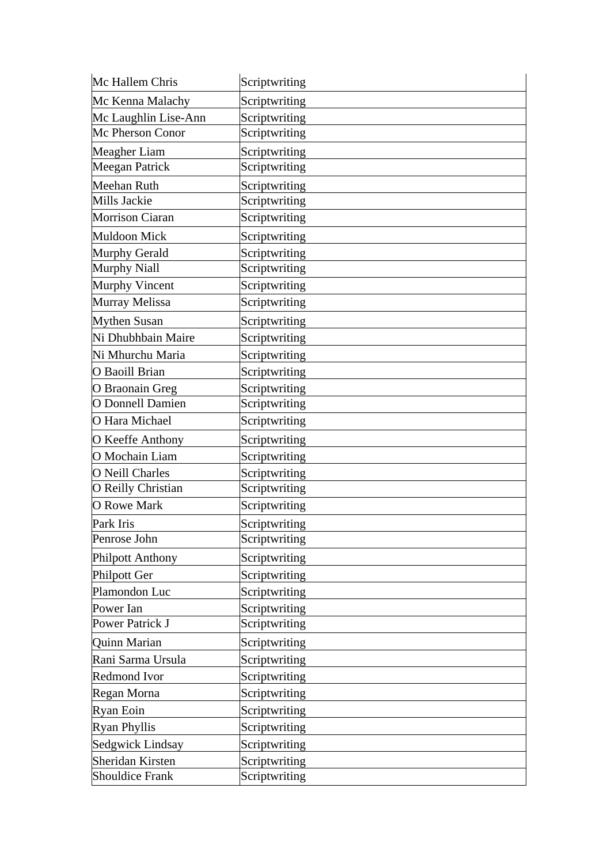| Mc Hallem Chris         | Scriptwriting |
|-------------------------|---------------|
| Mc Kenna Malachy        | Scriptwriting |
| Mc Laughlin Lise-Ann    | Scriptwriting |
| Mc Pherson Conor        | Scriptwriting |
| Meagher Liam            | Scriptwriting |
| <b>Meegan Patrick</b>   | Scriptwriting |
| Meehan Ruth             | Scriptwriting |
| Mills Jackie            | Scriptwriting |
| Morrison Ciaran         | Scriptwriting |
| <b>Muldoon Mick</b>     | Scriptwriting |
| Murphy Gerald           | Scriptwriting |
| <b>Murphy Niall</b>     | Scriptwriting |
| Murphy Vincent          | Scriptwriting |
| Murray Melissa          | Scriptwriting |
| <b>Mythen Susan</b>     | Scriptwriting |
| Ni Dhubhbain Maire      | Scriptwriting |
| Ni Mhurchu Maria        | Scriptwriting |
| O Baoill Brian          | Scriptwriting |
| O Braonain Greg         | Scriptwriting |
| O Donnell Damien        | Scriptwriting |
| O Hara Michael          | Scriptwriting |
| O Keeffe Anthony        | Scriptwriting |
| O Mochain Liam          | Scriptwriting |
| O Neill Charles         | Scriptwriting |
| O Reilly Christian      | Scriptwriting |
| <b>O</b> Rowe Mark      | Scriptwriting |
| Park Iris               | Scriptwriting |
| Penrose John            | Scriptwriting |
| <b>Philpott Anthony</b> | Scriptwriting |
| Philpott Ger            | Scriptwriting |
| Plamondon Luc           | Scriptwriting |
| Power Ian               | Scriptwriting |
| Power Patrick J         | Scriptwriting |
| Quinn Marian            | Scriptwriting |
| Rani Sarma Ursula       | Scriptwriting |
| <b>Redmond Ivor</b>     | Scriptwriting |
| Regan Morna             | Scriptwriting |
| Ryan Eoin               | Scriptwriting |
| <b>Ryan Phyllis</b>     | Scriptwriting |
| Sedgwick Lindsay        | Scriptwriting |
| Sheridan Kirsten        | Scriptwriting |
| <b>Shouldice Frank</b>  | Scriptwriting |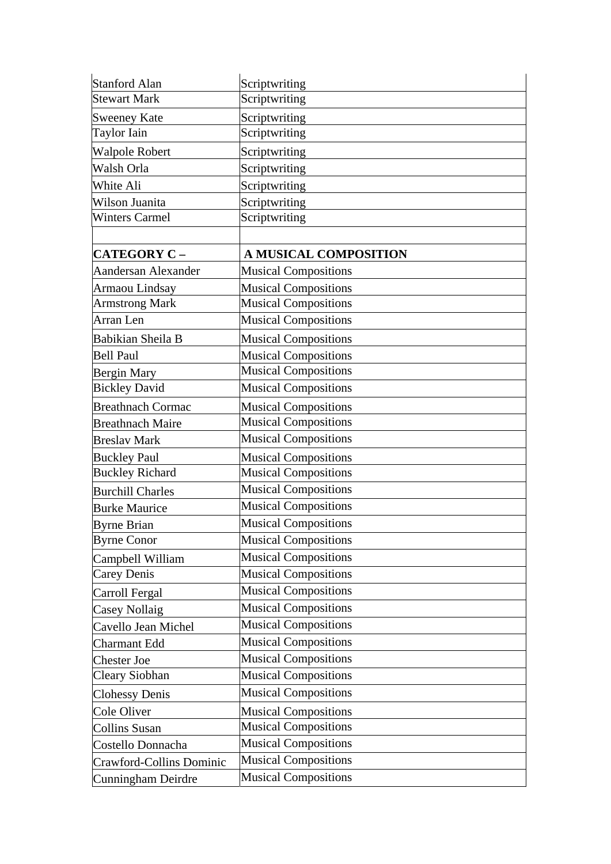| <b>Stanford Alan</b>     | Scriptwriting                |
|--------------------------|------------------------------|
| <b>Stewart Mark</b>      | Scriptwriting                |
| <b>Sweeney Kate</b>      | Scriptwriting                |
| <b>Taylor Iain</b>       | Scriptwriting                |
| <b>Walpole Robert</b>    | Scriptwriting                |
| Walsh Orla               | Scriptwriting                |
| White Ali                | Scriptwriting                |
| Wilson Juanita           | Scriptwriting                |
| <b>Winters Carmel</b>    | Scriptwriting                |
|                          |                              |
| <b>CATEGORY C -</b>      | <b>A MUSICAL COMPOSITION</b> |
| Aandersan Alexander      | <b>Musical Compositions</b>  |
| Armaou Lindsay           | <b>Musical Compositions</b>  |
| <b>Armstrong Mark</b>    | <b>Musical Compositions</b>  |
| Arran Len                | <b>Musical Compositions</b>  |
| Babikian Sheila B        | <b>Musical Compositions</b>  |
| <b>Bell Paul</b>         | <b>Musical Compositions</b>  |
| <b>Bergin Mary</b>       | <b>Musical Compositions</b>  |
| <b>Bickley David</b>     | <b>Musical Compositions</b>  |
| <b>Breathnach Cormac</b> | <b>Musical Compositions</b>  |
| <b>Breathnach Maire</b>  | <b>Musical Compositions</b>  |
| <b>Breslav Mark</b>      | <b>Musical Compositions</b>  |
| <b>Buckley Paul</b>      | <b>Musical Compositions</b>  |
| <b>Buckley Richard</b>   | <b>Musical Compositions</b>  |
| <b>Burchill Charles</b>  | <b>Musical Compositions</b>  |
| <b>Burke Maurice</b>     | <b>Musical Compositions</b>  |
| <b>Byrne Brian</b>       | Musical Compositions         |
| <b>Byrne Conor</b>       | <b>Musical Compositions</b>  |
| Campbell William         | <b>Musical Compositions</b>  |
| Carey Denis              | <b>Musical Compositions</b>  |
| Carroll Fergal           | <b>Musical Compositions</b>  |
| Casey Nollaig            | <b>Musical Compositions</b>  |
| Cavello Jean Michel      | <b>Musical Compositions</b>  |
| Charmant Edd             | <b>Musical Compositions</b>  |
| <b>Chester Joe</b>       | <b>Musical Compositions</b>  |
| Cleary Siobhan           | <b>Musical Compositions</b>  |
| <b>Clohessy Denis</b>    | <b>Musical Compositions</b>  |
| Cole Oliver              | <b>Musical Compositions</b>  |
| <b>Collins Susan</b>     | <b>Musical Compositions</b>  |
| Costello Donnacha        | <b>Musical Compositions</b>  |
| Crawford-Collins Dominic | <b>Musical Compositions</b>  |
| Cunningham Deirdre       | <b>Musical Compositions</b>  |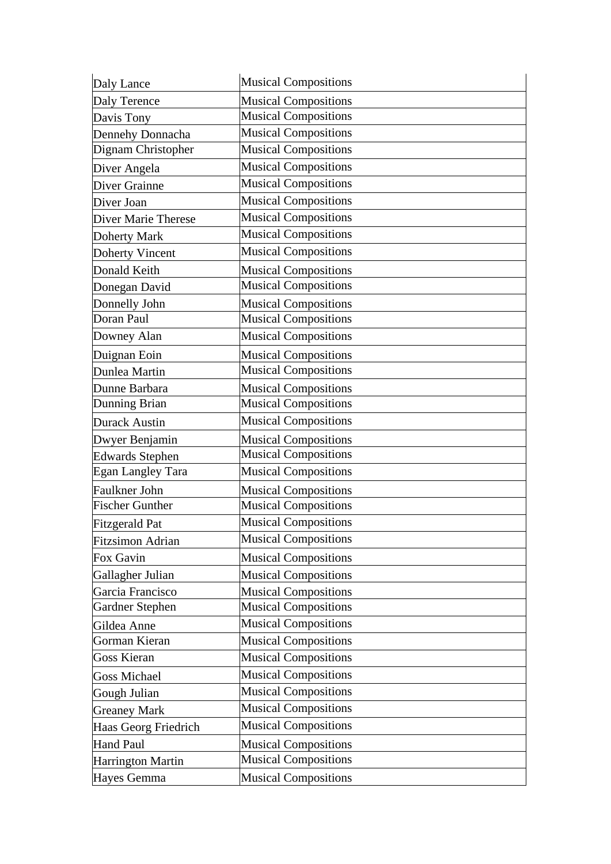| Daly Lance              | <b>Musical Compositions</b> |
|-------------------------|-----------------------------|
| Daly Terence            | <b>Musical Compositions</b> |
| Davis Tony              | <b>Musical Compositions</b> |
| Dennehy Donnacha        | <b>Musical Compositions</b> |
| Dignam Christopher      | <b>Musical Compositions</b> |
| Diver Angela            | <b>Musical Compositions</b> |
| Diver Grainne           | <b>Musical Compositions</b> |
| Diver Joan              | <b>Musical Compositions</b> |
| Diver Marie Therese     | <b>Musical Compositions</b> |
| Doherty Mark            | <b>Musical Compositions</b> |
| Doherty Vincent         | <b>Musical Compositions</b> |
| Donald Keith            | <b>Musical Compositions</b> |
| Donegan David           | <b>Musical Compositions</b> |
| Donnelly John           | <b>Musical Compositions</b> |
| Doran Paul              | <b>Musical Compositions</b> |
| Downey Alan             | <b>Musical Compositions</b> |
| Duignan Eoin            | <b>Musical Compositions</b> |
| Dunlea Martin           | <b>Musical Compositions</b> |
| Dunne Barbara           | <b>Musical Compositions</b> |
| Dunning Brian           | <b>Musical Compositions</b> |
| <b>Durack Austin</b>    | <b>Musical Compositions</b> |
| Dwyer Benjamin          | <b>Musical Compositions</b> |
| <b>Edwards Stephen</b>  | <b>Musical Compositions</b> |
| Egan Langley Tara       | <b>Musical Compositions</b> |
| Faulkner John           | <b>Musical Compositions</b> |
| <b>Fischer Gunther</b>  | <b>Musical Compositions</b> |
| <b>Fitzgerald Pat</b>   | <b>Musical Compositions</b> |
| <b>Fitzsimon Adrian</b> | <b>Musical Compositions</b> |
| Fox Gavin               | <b>Musical Compositions</b> |
| Gallagher Julian        | <b>Musical Compositions</b> |
| Garcia Francisco        | <b>Musical Compositions</b> |
| <b>Gardner Stephen</b>  | <b>Musical Compositions</b> |
| Gildea Anne             | <b>Musical Compositions</b> |
| Gorman Kieran           | <b>Musical Compositions</b> |
| <b>Goss Kieran</b>      | <b>Musical Compositions</b> |
| <b>Goss Michael</b>     | <b>Musical Compositions</b> |
| Gough Julian            | <b>Musical Compositions</b> |
| <b>Greaney Mark</b>     | <b>Musical Compositions</b> |
| Haas Georg Friedrich    | <b>Musical Compositions</b> |
| <b>Hand Paul</b>        | <b>Musical Compositions</b> |
| Harrington Martin       | <b>Musical Compositions</b> |
| Hayes Gemma             | <b>Musical Compositions</b> |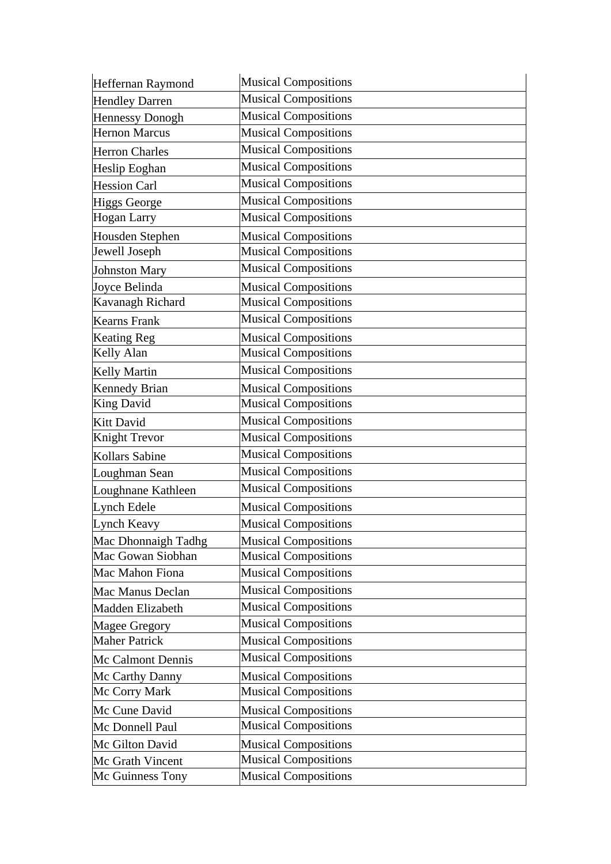| Heffernan Raymond      | <b>Musical Compositions</b> |
|------------------------|-----------------------------|
| <b>Hendley Darren</b>  | <b>Musical Compositions</b> |
| <b>Hennessy Donogh</b> | <b>Musical Compositions</b> |
| <b>Hernon Marcus</b>   | <b>Musical Compositions</b> |
| <b>Herron Charles</b>  | <b>Musical Compositions</b> |
| Heslip Eoghan          | <b>Musical Compositions</b> |
| <b>Hession Carl</b>    | <b>Musical Compositions</b> |
| <b>Higgs George</b>    | <b>Musical Compositions</b> |
| Hogan Larry            | <b>Musical Compositions</b> |
| Housden Stephen        | <b>Musical Compositions</b> |
| Jewell Joseph          | <b>Musical Compositions</b> |
| <b>Johnston Mary</b>   | <b>Musical Compositions</b> |
| Joyce Belinda          | <b>Musical Compositions</b> |
| Kavanagh Richard       | <b>Musical Compositions</b> |
| <b>Kearns Frank</b>    | <b>Musical Compositions</b> |
| <b>Keating Reg</b>     | <b>Musical Compositions</b> |
| Kelly Alan             | <b>Musical Compositions</b> |
| <b>Kelly Martin</b>    | <b>Musical Compositions</b> |
| <b>Kennedy Brian</b>   | <b>Musical Compositions</b> |
| <b>King David</b>      | <b>Musical Compositions</b> |
| Kitt David             | <b>Musical Compositions</b> |
| Knight Trevor          | <b>Musical Compositions</b> |
| Kollars Sabine         | <b>Musical Compositions</b> |
| Loughman Sean          | <b>Musical Compositions</b> |
| Loughnane Kathleen     | <b>Musical Compositions</b> |
| Lynch Edele            | <b>Musical Compositions</b> |
| Lynch Keavy            | <b>Musical Compositions</b> |
| Mac Dhonnaigh Tadhg    | <b>Musical Compositions</b> |
| Mac Gowan Siobhan      | <b>Musical Compositions</b> |
| Mac Mahon Fiona        | <b>Musical Compositions</b> |
| Mac Manus Declan       | <b>Musical Compositions</b> |
| Madden Elizabeth       | <b>Musical Compositions</b> |
| <b>Magee Gregory</b>   | <b>Musical Compositions</b> |
| <b>Maher Patrick</b>   | <b>Musical Compositions</b> |
| Mc Calmont Dennis      | <b>Musical Compositions</b> |
| Mc Carthy Danny        | <b>Musical Compositions</b> |
| Mc Corry Mark          | <b>Musical Compositions</b> |
| Mc Cune David          | <b>Musical Compositions</b> |
| Mc Donnell Paul        | <b>Musical Compositions</b> |
| Mc Gilton David        | <b>Musical Compositions</b> |
| Mc Grath Vincent       | <b>Musical Compositions</b> |
| Mc Guinness Tony       | <b>Musical Compositions</b> |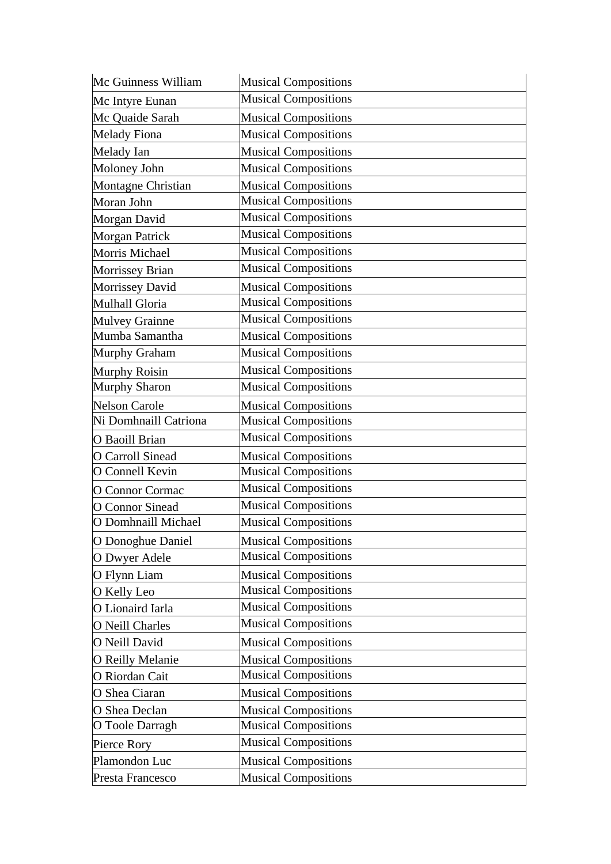| Mc Guinness William     | <b>Musical Compositions</b> |
|-------------------------|-----------------------------|
| Mc Intyre Eunan         | <b>Musical Compositions</b> |
| Mc Quaide Sarah         | <b>Musical Compositions</b> |
| <b>Melady Fiona</b>     | <b>Musical Compositions</b> |
| Melady Ian              | <b>Musical Compositions</b> |
| Moloney John            | <b>Musical Compositions</b> |
| Montagne Christian      | <b>Musical Compositions</b> |
| Moran John              | <b>Musical Compositions</b> |
| Morgan David            | <b>Musical Compositions</b> |
| <b>Morgan Patrick</b>   | <b>Musical Compositions</b> |
| Morris Michael          | <b>Musical Compositions</b> |
| Morrissey Brian         | <b>Musical Compositions</b> |
| Morrissey David         | <b>Musical Compositions</b> |
| Mulhall Gloria          | <b>Musical Compositions</b> |
| <b>Mulvey Grainne</b>   | <b>Musical Compositions</b> |
| Mumba Samantha          | <b>Musical Compositions</b> |
| Murphy Graham           | <b>Musical Compositions</b> |
| Murphy Roisin           | <b>Musical Compositions</b> |
| <b>Murphy Sharon</b>    | <b>Musical Compositions</b> |
| <b>Nelson Carole</b>    | <b>Musical Compositions</b> |
| Ni Domhnaill Catriona   | <b>Musical Compositions</b> |
| O Baoill Brian          | <b>Musical Compositions</b> |
| <b>O</b> Carroll Sinead | <b>Musical Compositions</b> |
| O Connell Kevin         | <b>Musical Compositions</b> |
| O Connor Cormac         | <b>Musical Compositions</b> |
| <b>O</b> Connor Sinead  | <b>Musical Compositions</b> |
| O Domhnaill Michael     | <b>Musical Compositions</b> |
| O Donoghue Daniel       | <b>Musical Compositions</b> |
| O Dwyer Adele           | <b>Musical Compositions</b> |
| O Flynn Liam            | <b>Musical Compositions</b> |
| O Kelly Leo             | <b>Musical Compositions</b> |
| O Lionaird Iarla        | <b>Musical Compositions</b> |
| O Neill Charles         | <b>Musical Compositions</b> |
| O Neill David           | <b>Musical Compositions</b> |
| O Reilly Melanie        | <b>Musical Compositions</b> |
| O Riordan Cait          | <b>Musical Compositions</b> |
| O Shea Ciaran           | <b>Musical Compositions</b> |
| O Shea Declan           | <b>Musical Compositions</b> |
| O Toole Darragh         | <b>Musical Compositions</b> |
| Pierce Rory             | <b>Musical Compositions</b> |
| Plamondon Luc           | <b>Musical Compositions</b> |
| Presta Francesco        | <b>Musical Compositions</b> |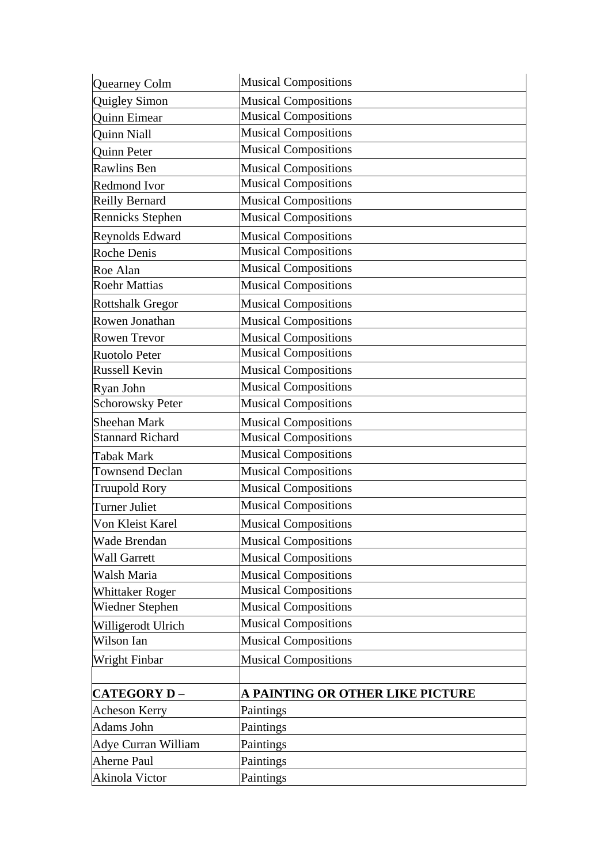| Quearney Colm              | <b>Musical Compositions</b>      |
|----------------------------|----------------------------------|
| Quigley Simon              | <b>Musical Compositions</b>      |
| <b>Quinn Eimear</b>        | <b>Musical Compositions</b>      |
| <b>Quinn Niall</b>         | <b>Musical Compositions</b>      |
| Quinn Peter                | <b>Musical Compositions</b>      |
| Rawlins Ben                | <b>Musical Compositions</b>      |
| <b>Redmond Ivor</b>        | <b>Musical Compositions</b>      |
| <b>Reilly Bernard</b>      | <b>Musical Compositions</b>      |
| Rennicks Stephen           | <b>Musical Compositions</b>      |
| Reynolds Edward            | <b>Musical Compositions</b>      |
| <b>Roche Denis</b>         | <b>Musical Compositions</b>      |
| Roe Alan                   | <b>Musical Compositions</b>      |
| <b>Roehr Mattias</b>       | <b>Musical Compositions</b>      |
| <b>Rottshalk Gregor</b>    | <b>Musical Compositions</b>      |
| Rowen Jonathan             | <b>Musical Compositions</b>      |
| Rowen Trevor               | <b>Musical Compositions</b>      |
| Ruotolo Peter              | <b>Musical Compositions</b>      |
| <b>Russell Kevin</b>       | <b>Musical Compositions</b>      |
| Ryan John                  | <b>Musical Compositions</b>      |
| <b>Schorowsky Peter</b>    | <b>Musical Compositions</b>      |
| Sheehan Mark               | <b>Musical Compositions</b>      |
| <b>Stannard Richard</b>    | <b>Musical Compositions</b>      |
| <b>Tabak Mark</b>          | Musical Compositions             |
| <b>Townsend Declan</b>     | <b>Musical Compositions</b>      |
| <b>Truupold Rory</b>       | <b>Musical Compositions</b>      |
| Turner Juliet              | <b>Musical Compositions</b>      |
| Von Kleist Karel           | <b>Musical Compositions</b>      |
| Wade Brendan               | <b>Musical Compositions</b>      |
| <b>Wall Garrett</b>        | <b>Musical Compositions</b>      |
| Walsh Maria                | <b>Musical Compositions</b>      |
| <b>Whittaker Roger</b>     | <b>Musical Compositions</b>      |
| Wiedner Stephen            | <b>Musical Compositions</b>      |
| Willigerodt Ulrich         | <b>Musical Compositions</b>      |
| Wilson Ian                 | <b>Musical Compositions</b>      |
| Wright Finbar              | <b>Musical Compositions</b>      |
|                            |                                  |
| <b>CATEGORY D-</b>         | A PAINTING OR OTHER LIKE PICTURE |
| <b>Acheson Kerry</b>       | Paintings                        |
| Adams John                 | Paintings                        |
| <b>Adye Curran William</b> | Paintings                        |
| <b>Aherne Paul</b>         | Paintings                        |
| Akinola Victor             | Paintings                        |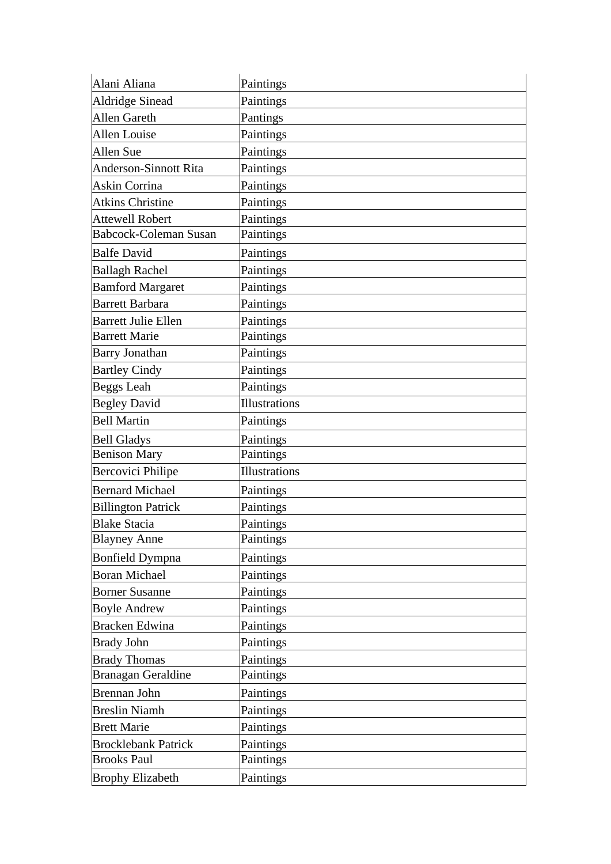| Alani Aliana                 | Paintings            |
|------------------------------|----------------------|
| <b>Aldridge Sinead</b>       | Paintings            |
| <b>Allen Gareth</b>          | Pantings             |
| Allen Louise                 | Paintings            |
| Allen Sue                    | Paintings            |
| <b>Anderson-Sinnott Rita</b> | Paintings            |
| Askin Corrina                | Paintings            |
| <b>Atkins Christine</b>      | Paintings            |
| <b>Attewell Robert</b>       | Paintings            |
| <b>Babcock-Coleman Susan</b> | Paintings            |
| <b>Balfe David</b>           | Paintings            |
| <b>Ballagh Rachel</b>        | Paintings            |
| <b>Bamford Margaret</b>      | Paintings            |
| <b>Barrett Barbara</b>       | Paintings            |
| <b>Barrett Julie Ellen</b>   | Paintings            |
| <b>Barrett Marie</b>         | Paintings            |
| <b>Barry Jonathan</b>        | Paintings            |
| <b>Bartley Cindy</b>         | Paintings            |
| <b>Beggs Leah</b>            | Paintings            |
| <b>Begley David</b>          | <b>Illustrations</b> |
| <b>Bell Martin</b>           | Paintings            |
| <b>Bell Gladys</b>           | Paintings            |
| <b>Benison Mary</b>          | Paintings            |
| Bercovici Philipe            | Illustrations        |
| <b>Bernard Michael</b>       | Paintings            |
| <b>Billington Patrick</b>    | Paintings            |
| <b>Blake Stacia</b>          | Paintings            |
| <b>Blayney Anne</b>          | Paintings            |
| <b>Bonfield Dympna</b>       | Paintings            |
| <b>Boran Michael</b>         | Paintings            |
| <b>Borner Susanne</b>        | Paintings            |
| <b>Boyle Andrew</b>          | Paintings            |
| <b>Bracken Edwina</b>        | Paintings            |
| <b>Brady John</b>            | Paintings            |
| <b>Brady Thomas</b>          | Paintings            |
| Branagan Geraldine           | Paintings            |
| Brennan John                 | Paintings            |
| <b>Breslin Niamh</b>         | Paintings            |
| <b>Brett Marie</b>           | Paintings            |
|                              |                      |
| <b>Brocklebank Patrick</b>   | Paintings            |
| <b>Brooks Paul</b>           | Paintings            |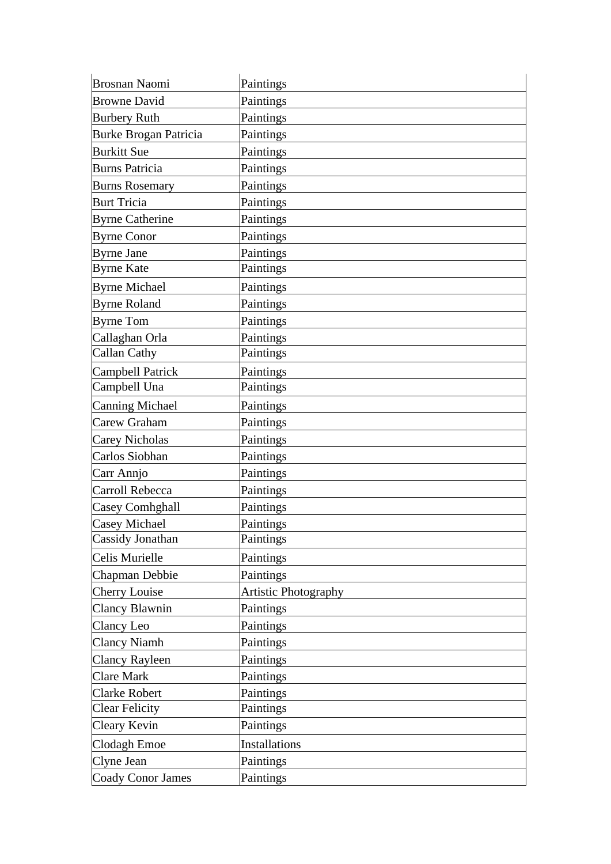| <b>Brosnan Naomi</b>     | Paintings                   |
|--------------------------|-----------------------------|
| <b>Browne David</b>      | Paintings                   |
| <b>Burbery Ruth</b>      | Paintings                   |
| Burke Brogan Patricia    | Paintings                   |
| <b>Burkitt Sue</b>       | Paintings                   |
| <b>Burns Patricia</b>    | Paintings                   |
| <b>Burns Rosemary</b>    | Paintings                   |
| <b>Burt Tricia</b>       | Paintings                   |
| <b>Byrne Catherine</b>   | Paintings                   |
| <b>Byrne Conor</b>       | Paintings                   |
| <b>Byrne Jane</b>        | Paintings                   |
| <b>Byrne Kate</b>        | Paintings                   |
| <b>Byrne Michael</b>     | Paintings                   |
| <b>Byrne Roland</b>      | Paintings                   |
| <b>Byrne Tom</b>         | Paintings                   |
| Callaghan Orla           | Paintings                   |
| <b>Callan Cathy</b>      | Paintings                   |
| <b>Campbell Patrick</b>  | Paintings                   |
| Campbell Una             | Paintings                   |
| Canning Michael          | Paintings                   |
| Carew Graham             | Paintings                   |
| <b>Carey Nicholas</b>    | Paintings                   |
| Carlos Siobhan           | Paintings                   |
| Carr Annjo               | Paintings                   |
| Carroll Rebecca          | Paintings                   |
| Casey Comhghall          | Paintings                   |
| Casey Michael            | Paintings                   |
| Cassidy Jonathan         | Paintings                   |
| Celis Murielle           | Paintings                   |
| Chapman Debbie           | Paintings                   |
| <b>Cherry Louise</b>     | <b>Artistic Photography</b> |
| Clancy Blawnin           | Paintings                   |
| Clancy Leo               | Paintings                   |
| <b>Clancy Niamh</b>      | Paintings                   |
| <b>Clancy Rayleen</b>    | Paintings                   |
| <b>Clare Mark</b>        | Paintings                   |
| <b>Clarke Robert</b>     | Paintings                   |
| <b>Clear Felicity</b>    | Paintings                   |
| Cleary Kevin             | Paintings                   |
| Clodagh Emoe             | <b>Installations</b>        |
| Clyne Jean               | Paintings                   |
| <b>Coady Conor James</b> | Paintings                   |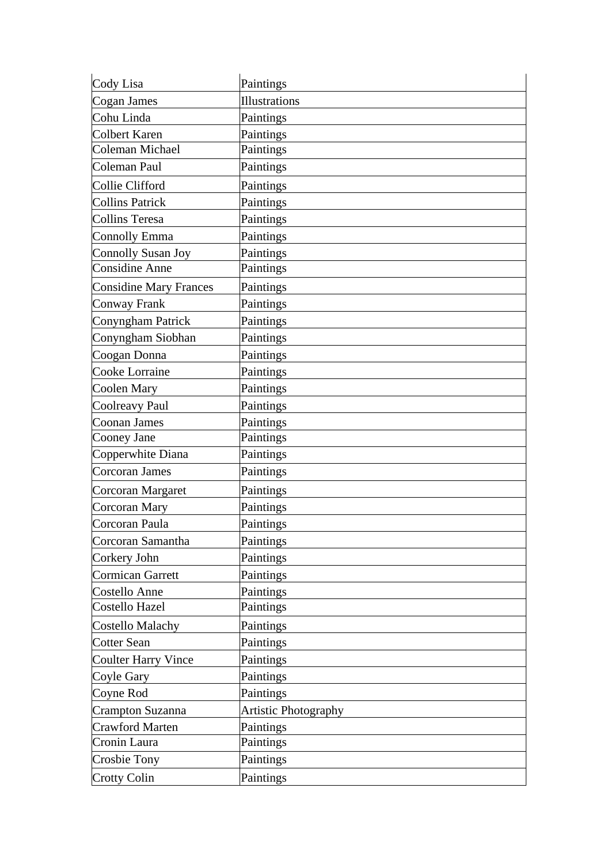| Cody Lisa                     | Paintings                   |
|-------------------------------|-----------------------------|
| Cogan James                   | <b>Illustrations</b>        |
| Cohu Linda                    | Paintings                   |
| Colbert Karen                 | Paintings                   |
| Coleman Michael               | Paintings                   |
| Coleman Paul                  | Paintings                   |
| Collie Clifford               | Paintings                   |
| <b>Collins Patrick</b>        | Paintings                   |
| <b>Collins Teresa</b>         | Paintings                   |
| Connolly Emma                 | Paintings                   |
| <b>Connolly Susan Joy</b>     | Paintings                   |
| <b>Considine Anne</b>         | Paintings                   |
| <b>Considine Mary Frances</b> | Paintings                   |
| Conway Frank                  | Paintings                   |
| Conyngham Patrick             | Paintings                   |
| Conyngham Siobhan             | Paintings                   |
| Coogan Donna                  | Paintings                   |
| Cooke Lorraine                | Paintings                   |
| Coolen Mary                   | Paintings                   |
| Coolreavy Paul                | Paintings                   |
| Coonan James                  | Paintings                   |
| Cooney Jane                   | Paintings                   |
| Copperwhite Diana             | Paintings                   |
| Corcoran James                | Paintings                   |
| Corcoran Margaret             | Paintings                   |
| Corcoran Mary                 | Paintings                   |
| Corcoran Paula                | Paintings                   |
| Corcoran Samantha             | Paintings                   |
| Corkery John                  | Paintings                   |
| Cormican Garrett              | Paintings                   |
| Costello Anne                 | Paintings                   |
| Costello Hazel                | Paintings                   |
| <b>Costello Malachy</b>       | Paintings                   |
| <b>Cotter Sean</b>            | Paintings                   |
| <b>Coulter Harry Vince</b>    | Paintings                   |
| Coyle Gary                    | Paintings                   |
| Coyne Rod                     | Paintings                   |
| Crampton Suzanna              | <b>Artistic Photography</b> |
| <b>Crawford Marten</b>        | Paintings                   |
| Cronin Laura                  | Paintings                   |
| Crosbie Tony                  | Paintings                   |
| <b>Crotty Colin</b>           | Paintings                   |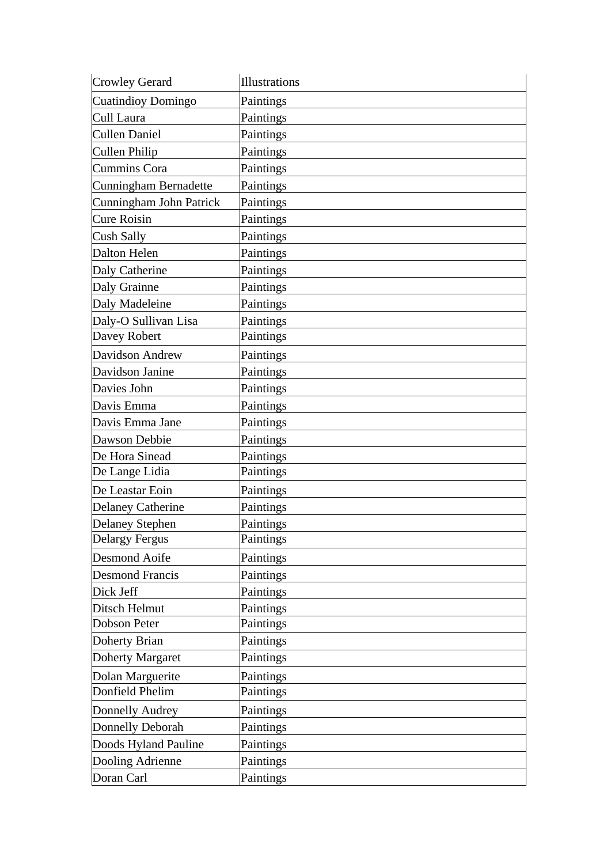| <b>Crowley Gerard</b>    | <b>Illustrations</b> |
|--------------------------|----------------------|
| Cuatindioy Domingo       | Paintings            |
| Cull Laura               | Paintings            |
| Cullen Daniel            | Paintings            |
| Cullen Philip            | Paintings            |
| Cummins Cora             | Paintings            |
| Cunningham Bernadette    | Paintings            |
| Cunningham John Patrick  | Paintings            |
| <b>Cure Roisin</b>       | Paintings            |
| Cush Sally               | Paintings            |
| Dalton Helen             | Paintings            |
| Daly Catherine           | Paintings            |
| Daly Grainne             | Paintings            |
| Daly Madeleine           | Paintings            |
| Daly-O Sullivan Lisa     | Paintings            |
| Davey Robert             | Paintings            |
| Davidson Andrew          | Paintings            |
| Davidson Janine          | Paintings            |
| Davies John              | Paintings            |
| Davis Emma               | Paintings            |
| Davis Emma Jane          | Paintings            |
| Dawson Debbie            | Paintings            |
| De Hora Sinead           | Paintings            |
| De Lange Lidia           | Paintings            |
| De Leastar Eoin          | Paintings            |
| <b>Delaney Catherine</b> | Paintings            |
| <b>Delaney Stephen</b>   | Paintings            |
| <b>Delargy Fergus</b>    | Paintings            |
| <b>Desmond Aoife</b>     | Paintings            |
| <b>Desmond Francis</b>   | Paintings            |
| Dick Jeff                | Paintings            |
| Ditsch Helmut            | Paintings            |
| <b>Dobson Peter</b>      | Paintings            |
| Doherty Brian            | Paintings            |
| <b>Doherty Margaret</b>  | Paintings            |
| Dolan Marguerite         | Paintings            |
| Donfield Phelim          | Paintings            |
| Donnelly Audrey          | Paintings            |
| Donnelly Deborah         | Paintings            |
| Doods Hyland Pauline     | Paintings            |
| Dooling Adrienne         | Paintings            |
| Doran Carl               | Paintings            |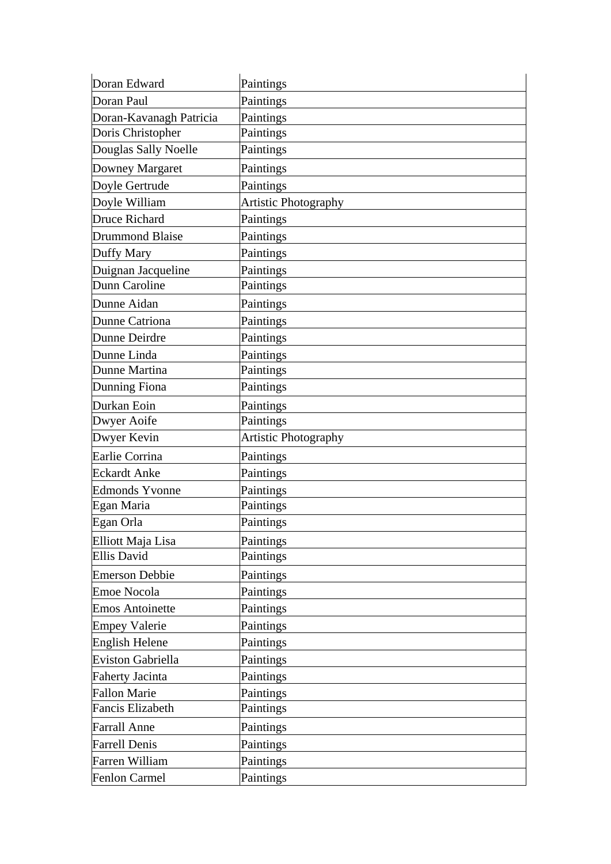| Doran Edward             | Paintings                   |
|--------------------------|-----------------------------|
| Doran Paul               | Paintings                   |
| Doran-Kavanagh Patricia  | Paintings                   |
| Doris Christopher        | Paintings                   |
| Douglas Sally Noelle     | Paintings                   |
| Downey Margaret          | Paintings                   |
| Doyle Gertrude           | Paintings                   |
| Doyle William            | <b>Artistic Photography</b> |
| Druce Richard            | Paintings                   |
| <b>Drummond Blaise</b>   | Paintings                   |
| <b>Duffy Mary</b>        | Paintings                   |
| Duignan Jacqueline       | Paintings                   |
| Dunn Caroline            | Paintings                   |
| Dunne Aidan              | Paintings                   |
| Dunne Catriona           | Paintings                   |
| Dunne Deirdre            | Paintings                   |
| Dunne Linda              | Paintings                   |
| Dunne Martina            | Paintings                   |
| Dunning Fiona            | Paintings                   |
| Durkan Eoin              | Paintings                   |
| Dwyer Aoife              | Paintings                   |
| Dwyer Kevin              | <b>Artistic Photography</b> |
| Earlie Corrina           | Paintings                   |
| <b>Eckardt Anke</b>      | Paintings                   |
| <b>Edmonds Yvonne</b>    | Paintings                   |
| Egan Maria               | Paintings                   |
| Egan Orla                | Paintings                   |
| Elliott Maja Lisa        | Paintings                   |
| <b>Ellis David</b>       | Paintings                   |
| <b>Emerson Debbie</b>    | Paintings                   |
| <b>Emoe Nocola</b>       | Paintings                   |
| <b>Emos Antoinette</b>   | Paintings                   |
| <b>Empey Valerie</b>     | Paintings                   |
| <b>English Helene</b>    | Paintings                   |
| <b>Eviston Gabriella</b> | Paintings                   |
| <b>Faherty Jacinta</b>   | Paintings                   |
| <b>Fallon Marie</b>      | Paintings                   |
| <b>Fancis Elizabeth</b>  | Paintings                   |
| <b>Farrall Anne</b>      | Paintings                   |
|                          |                             |
| <b>Farrell Denis</b>     | Paintings                   |
| Farren William           | Paintings                   |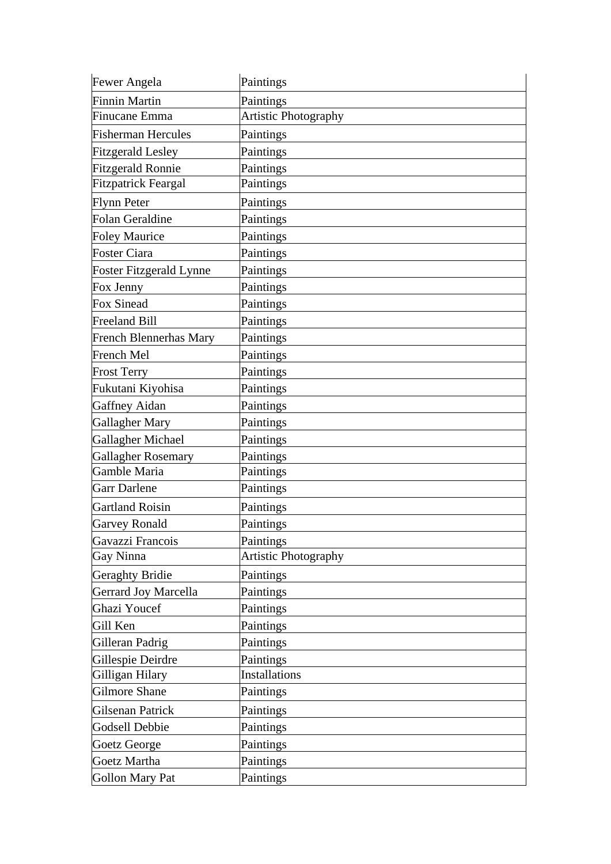| Fewer Angela                   | Paintings                   |
|--------------------------------|-----------------------------|
| <b>Finnin Martin</b>           | Paintings                   |
| Finucane Emma                  | <b>Artistic Photography</b> |
| <b>Fisherman Hercules</b>      | Paintings                   |
| <b>Fitzgerald Lesley</b>       | Paintings                   |
| <b>Fitzgerald Ronnie</b>       | Paintings                   |
| <b>Fitzpatrick Feargal</b>     | Paintings                   |
| <b>Flynn Peter</b>             | Paintings                   |
| Folan Geraldine                | Paintings                   |
| <b>Foley Maurice</b>           | Paintings                   |
| <b>Foster Ciara</b>            | Paintings                   |
| <b>Foster Fitzgerald Lynne</b> | Paintings                   |
| Fox Jenny                      | Paintings                   |
| <b>Fox Sinead</b>              | Paintings                   |
| <b>Freeland Bill</b>           | Paintings                   |
| <b>French Blennerhas Mary</b>  | Paintings                   |
| French Mel                     | Paintings                   |
| <b>Frost Terry</b>             | Paintings                   |
| Fukutani Kiyohisa              | Paintings                   |
| Gaffney Aidan                  | Paintings                   |
| Gallagher Mary                 | Paintings                   |
| Gallagher Michael              | Paintings                   |
| <b>Gallagher Rosemary</b>      | Paintings                   |
| Gamble Maria                   | Paintings                   |
| <b>Garr Darlene</b>            | Paintings                   |
| <b>Gartland Roisin</b>         | Paintings                   |
| <b>Garvey Ronald</b>           | Paintings                   |
| Gavazzi Francois               | Paintings                   |
| Gay Ninna                      | <b>Artistic Photography</b> |
| <b>Geraghty Bridie</b>         | Paintings                   |
| Gerrard Joy Marcella           | Paintings                   |
| Ghazi Youcef                   | Paintings                   |
| Gill Ken                       | Paintings                   |
| Gilleran Padrig                | Paintings                   |
| Gillespie Deirdre              | Paintings                   |
| Gilligan Hilary                | Installations               |
| Gilmore Shane                  | Paintings                   |
| Gilsenan Patrick               | Paintings                   |
| Godsell Debbie                 | Paintings                   |
| Goetz George                   | Paintings                   |
| Goetz Martha                   | Paintings                   |
| Gollon Mary Pat                | Paintings                   |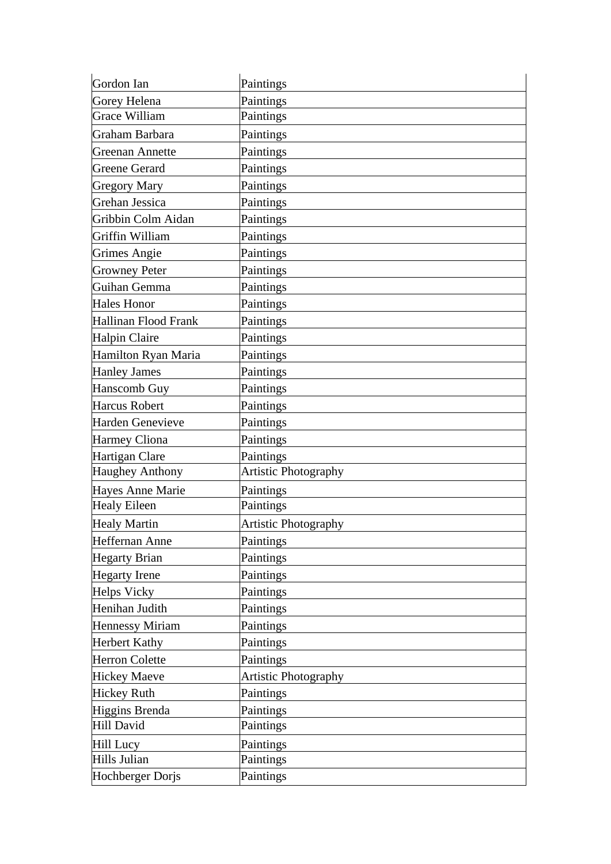| Gordon Ian              | Paintings                   |
|-------------------------|-----------------------------|
| Gorey Helena            | Paintings                   |
| <b>Grace William</b>    | Paintings                   |
| Graham Barbara          | Paintings                   |
| Greenan Annette         | Paintings                   |
| <b>Greene Gerard</b>    | Paintings                   |
| <b>Gregory Mary</b>     | Paintings                   |
| Grehan Jessica          | Paintings                   |
| Gribbin Colm Aidan      | Paintings                   |
| Griffin William         | Paintings                   |
| Grimes Angie            | Paintings                   |
| <b>Growney Peter</b>    | Paintings                   |
| Guihan Gemma            | Paintings                   |
| <b>Hales Honor</b>      | Paintings                   |
| Hallinan Flood Frank    | Paintings                   |
| Halpin Claire           | Paintings                   |
| Hamilton Ryan Maria     | Paintings                   |
| <b>Hanley James</b>     | Paintings                   |
| Hanscomb Guy            | Paintings                   |
| Harcus Robert           | Paintings                   |
| <b>Harden Genevieve</b> | Paintings                   |
| <b>Harmey Cliona</b>    | Paintings                   |
| Hartigan Clare          | Paintings                   |
| <b>Haughey Anthony</b>  | <b>Artistic Photography</b> |
| <b>Hayes Anne Marie</b> | Paintings                   |
| <b>Healy Eileen</b>     | Paintings                   |
| <b>Healy Martin</b>     | <b>Artistic Photography</b> |
| Heffernan Anne          | Paintings                   |
| <b>Hegarty Brian</b>    | Paintings                   |
| <b>Hegarty</b> Irene    | Paintings                   |
| Helps Vicky             | Paintings                   |
| Henihan Judith          | Paintings                   |
| <b>Hennessy Miriam</b>  | Paintings                   |
| <b>Herbert Kathy</b>    | Paintings                   |
| <b>Herron Colette</b>   | Paintings                   |
| <b>Hickey Maeve</b>     | <b>Artistic Photography</b> |
| <b>Hickey Ruth</b>      | Paintings                   |
| Higgins Brenda          | Paintings                   |
| Hill David              | Paintings                   |
| Hill Lucy               | Paintings                   |
| Hills Julian            | Paintings                   |
| Hochberger Dorjs        | Paintings                   |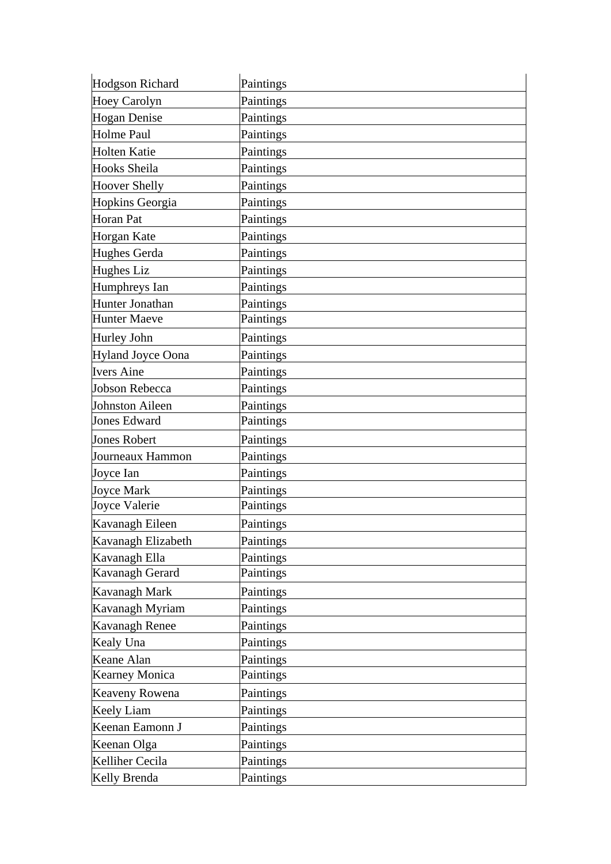| <b>Hodgson Richard</b>   | Paintings |
|--------------------------|-----------|
| <b>Hoey Carolyn</b>      | Paintings |
| Hogan Denise             | Paintings |
| Holme Paul               | Paintings |
| <b>Holten Katie</b>      | Paintings |
| Hooks Sheila             | Paintings |
| <b>Hoover Shelly</b>     | Paintings |
| Hopkins Georgia          | Paintings |
| Horan Pat                | Paintings |
| <b>Horgan Kate</b>       | Paintings |
| Hughes Gerda             | Paintings |
| Hughes Liz               | Paintings |
| Humphreys Ian            | Paintings |
| Hunter Jonathan          | Paintings |
| <b>Hunter Maeve</b>      | Paintings |
| Hurley John              | Paintings |
| <b>Hyland Joyce Oona</b> | Paintings |
| <b>Ivers Aine</b>        | Paintings |
| Jobson Rebecca           | Paintings |
| Johnston Aileen          | Paintings |
| <b>Jones Edward</b>      | Paintings |
|                          |           |
| <b>Jones Robert</b>      | Paintings |
| Journeaux Hammon         | Paintings |
| Joyce Ian                | Paintings |
| <b>Joyce Mark</b>        | Paintings |
| Joyce Valerie            | Paintings |
| Kavanagh Eileen          | Paintings |
| Kavanagh Elizabeth       | Paintings |
| Kavanagh Ella            | Paintings |
| Kavanagh Gerard          | Paintings |
| Kavanagh Mark            | Paintings |
| Kavanagh Myriam          | Paintings |
| Kavanagh Renee           | Paintings |
| Kealy Una                | Paintings |
| Keane Alan               | Paintings |
| <b>Kearney Monica</b>    | Paintings |
| Keaveny Rowena           | Paintings |
| <b>Keely Liam</b>        | Paintings |
| Keenan Eamonn J          | Paintings |
| Keenan Olga              | Paintings |
| Kelliher Cecila          | Paintings |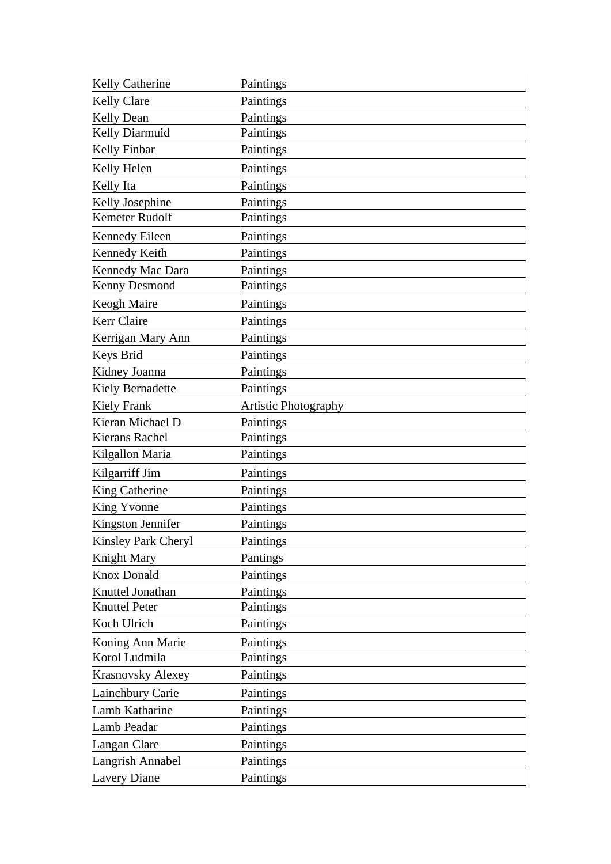| <b>Kelly Catherine</b>   | Paintings                   |
|--------------------------|-----------------------------|
| <b>Kelly Clare</b>       | Paintings                   |
| <b>Kelly Dean</b>        | Paintings                   |
| Kelly Diarmuid           | Paintings                   |
| <b>Kelly Finbar</b>      | Paintings                   |
| Kelly Helen              | Paintings                   |
| Kelly Ita                | Paintings                   |
| Kelly Josephine          | Paintings                   |
| Kemeter Rudolf           | Paintings                   |
| <b>Kennedy Eileen</b>    | Paintings                   |
| Kennedy Keith            | Paintings                   |
| Kennedy Mac Dara         | Paintings                   |
| <b>Kenny Desmond</b>     | Paintings                   |
| Keogh Maire              | Paintings                   |
| <b>Kerr Claire</b>       | Paintings                   |
| Kerrigan Mary Ann        | Paintings                   |
| Keys Brid                | Paintings                   |
| Kidney Joanna            | Paintings                   |
| Kiely Bernadette         | Paintings                   |
| <b>Kiely Frank</b>       | <b>Artistic Photography</b> |
| Kieran Michael D         | Paintings                   |
| Kierans Rachel           | Paintings                   |
| Kilgallon Maria          | Paintings                   |
| Kilgarriff Jim           | Paintings                   |
| King Catherine           | Paintings                   |
| King Yvonne              | Paintings                   |
| Kingston Jennifer        | Paintings                   |
| Kinsley Park Cheryl      | Paintings                   |
| Knight Mary              | Pantings                    |
| <b>Knox Donald</b>       | Paintings                   |
| Knuttel Jonathan         | Paintings                   |
| <b>Knuttel Peter</b>     | Paintings                   |
| Koch Ulrich              | Paintings                   |
| Koning Ann Marie         | Paintings                   |
| Korol Ludmila            | Paintings                   |
| <b>Krasnovsky Alexey</b> | Paintings                   |
| Lainchbury Carie         | Paintings                   |
| Lamb Katharine           | Paintings                   |
| Lamb Peadar              | Paintings                   |
| Langan Clare             | Paintings                   |
| Langrish Annabel         | Paintings                   |
| <b>Lavery Diane</b>      | Paintings                   |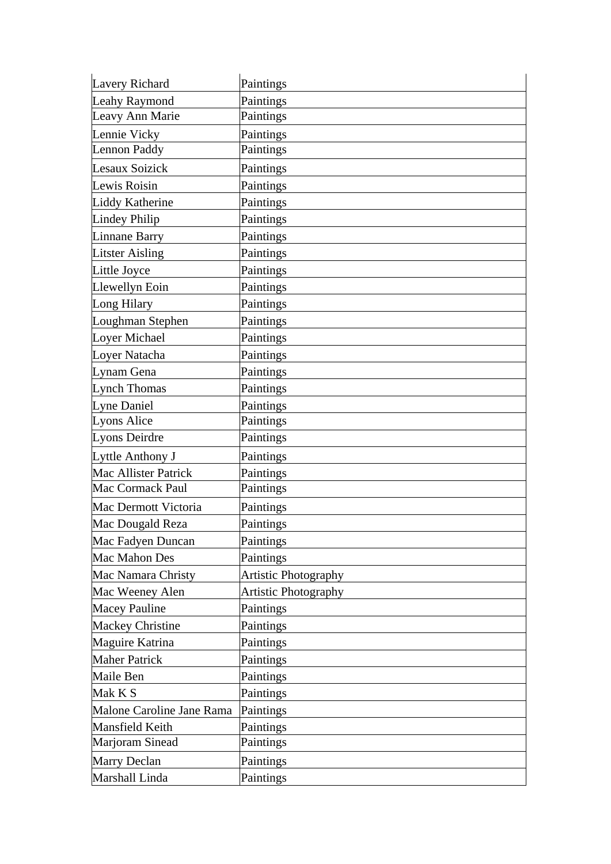| Lavery Richard              | Paintings                   |
|-----------------------------|-----------------------------|
| Leahy Raymond               | Paintings                   |
| Leavy Ann Marie             | Paintings                   |
| Lennie Vicky                | Paintings                   |
| Lennon Paddy                | Paintings                   |
| Lesaux Soizick              | Paintings                   |
| Lewis Roisin                | Paintings                   |
| Liddy Katherine             | Paintings                   |
| Lindey Philip               | Paintings                   |
| Linnane Barry               | Paintings                   |
| <b>Litster Aisling</b>      | Paintings                   |
| Little Joyce                | Paintings                   |
| Llewellyn Eoin              | Paintings                   |
| Long Hilary                 | Paintings                   |
| Loughman Stephen            | Paintings                   |
| Loyer Michael               | Paintings                   |
| Loyer Natacha               | Paintings                   |
| Lynam Gena                  | Paintings                   |
| <b>Lynch Thomas</b>         | Paintings                   |
| Lyne Daniel                 | Paintings                   |
| Lyons Alice                 | Paintings                   |
| Lyons Deirdre               | Paintings                   |
| Lyttle Anthony J            | Paintings                   |
| <b>Mac Allister Patrick</b> | Paintings                   |
| <b>Mac Cormack Paul</b>     | Paintings                   |
| Mac Dermott Victoria        | Paintings                   |
| Mac Dougald Reza            | Paintings                   |
| Mac Fadyen Duncan           | Paintings                   |
| Mac Mahon Des               | Paintings                   |
| Mac Namara Christy          | <b>Artistic Photography</b> |
| Mac Weeney Alen             | <b>Artistic Photography</b> |
| <b>Macey Pauline</b>        | Paintings                   |
| <b>Mackey Christine</b>     | Paintings                   |
| Maguire Katrina             | Paintings                   |
| <b>Maher Patrick</b>        | Paintings                   |
| Maile Ben                   | Paintings                   |
| Mak K S                     | Paintings                   |
| Malone Caroline Jane Rama   | Paintings                   |
| Mansfield Keith             | Paintings                   |
| Marjoram Sinead             | Paintings                   |
| Marry Declan                | Paintings                   |
| Marshall Linda              | Paintings                   |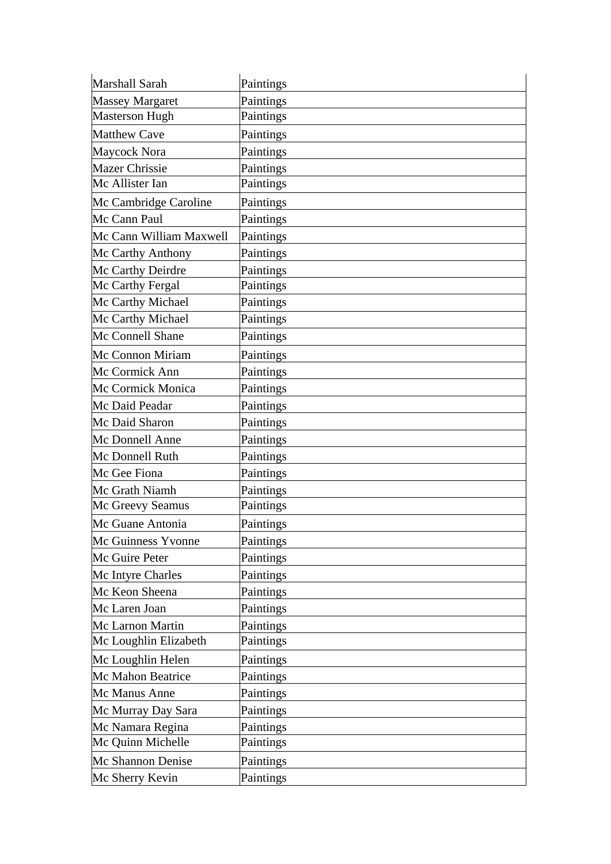| Marshall Sarah          | Paintings |
|-------------------------|-----------|
| <b>Massey Margaret</b>  | Paintings |
| <b>Masterson Hugh</b>   | Paintings |
| <b>Matthew Cave</b>     | Paintings |
| Maycock Nora            | Paintings |
| <b>Mazer Chrissie</b>   | Paintings |
| Mc Allister Ian         | Paintings |
| Mc Cambridge Caroline   | Paintings |
| Mc Cann Paul            | Paintings |
| Mc Cann William Maxwell | Paintings |
| Mc Carthy Anthony       | Paintings |
| Mc Carthy Deirdre       | Paintings |
| Mc Carthy Fergal        | Paintings |
| Mc Carthy Michael       | Paintings |
| Mc Carthy Michael       | Paintings |
| Mc Connell Shane        | Paintings |
| Mc Connon Miriam        | Paintings |
| Mc Cormick Ann          | Paintings |
| Mc Cormick Monica       | Paintings |
| Mc Daid Peadar          | Paintings |
| Mc Daid Sharon          | Paintings |
| Mc Donnell Anne         | Paintings |
| Mc Donnell Ruth         | Paintings |
| Mc Gee Fiona            | Paintings |
| Mc Grath Niamh          | Paintings |
| Mc Greevy Seamus        | Paintings |
| Mc Guane Antonia        | Paintings |
| Mc Guinness Yvonne      | Paintings |
| Mc Guire Peter          | Paintings |
| Mc Intyre Charles       | Paintings |
| Mc Keon Sheena          | Paintings |
| Mc Laren Joan           | Paintings |
| Mc Larnon Martin        | Paintings |
| Mc Loughlin Elizabeth   | Paintings |
| Mc Loughlin Helen       | Paintings |
| Mc Mahon Beatrice       | Paintings |
| Mc Manus Anne           | Paintings |
| Mc Murray Day Sara      | Paintings |
| Mc Namara Regina        | Paintings |
| Mc Quinn Michelle       | Paintings |
| Mc Shannon Denise       | Paintings |
| Mc Sherry Kevin         | Paintings |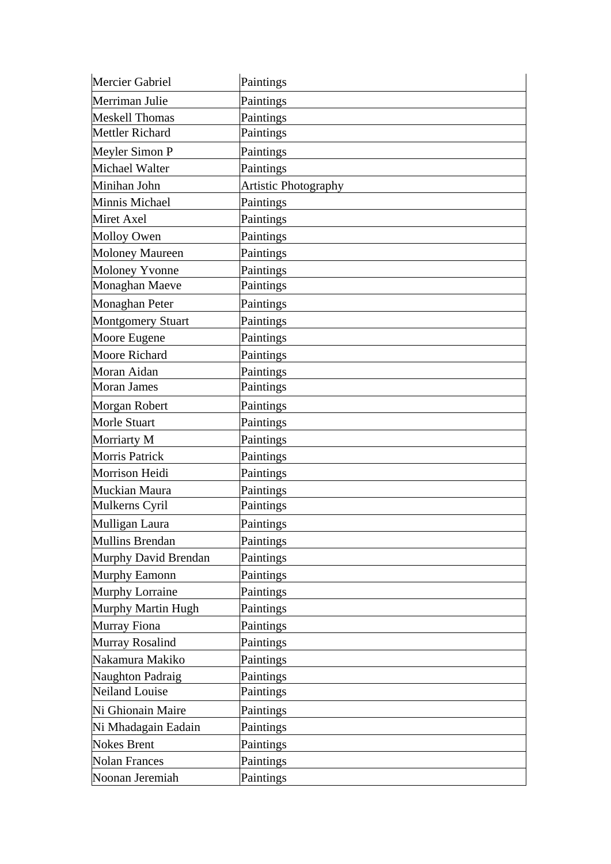| Mercier Gabriel          | Paintings            |
|--------------------------|----------------------|
| Merriman Julie           | Paintings            |
| <b>Meskell Thomas</b>    | Paintings            |
| Mettler Richard          | Paintings            |
| Meyler Simon P           | Paintings            |
| Michael Walter           | Paintings            |
| Minihan John             | Artistic Photography |
| Minnis Michael           | Paintings            |
| Miret Axel               | Paintings            |
| <b>Molloy Owen</b>       | Paintings            |
| <b>Moloney Maureen</b>   | Paintings            |
| Moloney Yvonne           | Paintings            |
| Monaghan Maeve           | Paintings            |
| Monaghan Peter           | Paintings            |
| <b>Montgomery Stuart</b> | Paintings            |
| Moore Eugene             | Paintings            |
| <b>Moore Richard</b>     | Paintings            |
| Moran Aidan              | Paintings            |
| <b>Moran James</b>       | Paintings            |
| Morgan Robert            | Paintings            |
| Morle Stuart             | Paintings            |
| Morriarty M              | Paintings            |
| Morris Patrick           | Paintings            |
| Morrison Heidi           | Paintings            |
| Muckian Maura            | Paintings            |
| Mulkerns Cyril           | Paintings            |
| Mulligan Laura           | Paintings            |
| Mullins Brendan          | Paintings            |
| Murphy David Brendan     | Paintings            |
| Murphy Eamonn            | Paintings            |
| Murphy Lorraine          | Paintings            |
| Murphy Martin Hugh       | Paintings            |
| Murray Fiona             | Paintings            |
| Murray Rosalind          | Paintings            |
| Nakamura Makiko          | Paintings            |
| Naughton Padraig         | Paintings            |
| <b>Neiland Louise</b>    | Paintings            |
| Ni Ghionain Maire        | Paintings            |
| Ni Mhadagain Eadain      | Paintings            |
| <b>Nokes Brent</b>       | Paintings            |
| <b>Nolan Frances</b>     | Paintings            |
| Noonan Jeremiah          | Paintings            |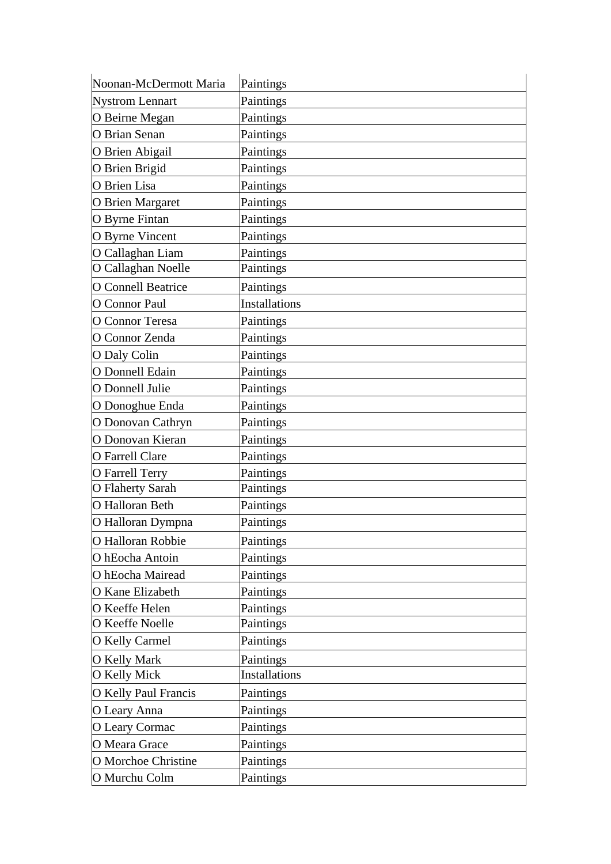| Noonan-McDermott Maria    | Paintings            |
|---------------------------|----------------------|
| <b>Nystrom Lennart</b>    | Paintings            |
| O Beirne Megan            | Paintings            |
| O Brian Senan             | Paintings            |
| O Brien Abigail           | Paintings            |
| O Brien Brigid            | Paintings            |
| O Brien Lisa              | Paintings            |
| <b>O</b> Brien Margaret   | Paintings            |
| O Byrne Fintan            | Paintings            |
| <b>O</b> Byrne Vincent    | Paintings            |
| O Callaghan Liam          | Paintings            |
| O Callaghan Noelle        | Paintings            |
| <b>O</b> Connell Beatrice | Paintings            |
| O Connor Paul             | <b>Installations</b> |
| O Connor Teresa           | Paintings            |
| O Connor Zenda            | Paintings            |
| O Daly Colin              | Paintings            |
| O Donnell Edain           | Paintings            |
| O Donnell Julie           | Paintings            |
| O Donoghue Enda           | Paintings            |
| O Donovan Cathryn         | Paintings            |
| O Donovan Kieran          | Paintings            |
| <b>O</b> Farrell Clare    | Paintings            |
| O Farrell Terry           | Paintings            |
| O Flaherty Sarah          | Paintings            |
| O Halloran Beth           | Paintings            |
| O Halloran Dympna         | Paintings            |
| O Halloran Robbie         | Paintings            |
| O hEocha Antoin           | Paintings            |
| O hEocha Mairead          | Paintings            |
| O Kane Elizabeth          | Paintings            |
| O Keeffe Helen            | Paintings            |
| O Keeffe Noelle           | Paintings            |
| <b>O</b> Kelly Carmel     | Paintings            |
| <b>O</b> Kelly Mark       | Paintings            |
| O Kelly Mick              | <b>Installations</b> |
| O Kelly Paul Francis      | Paintings            |
| O Leary Anna              | Paintings            |
| O Leary Cormac            | Paintings            |
| O Meara Grace             | Paintings            |
| O Morchoe Christine       | Paintings            |
| O Murchu Colm             | Paintings            |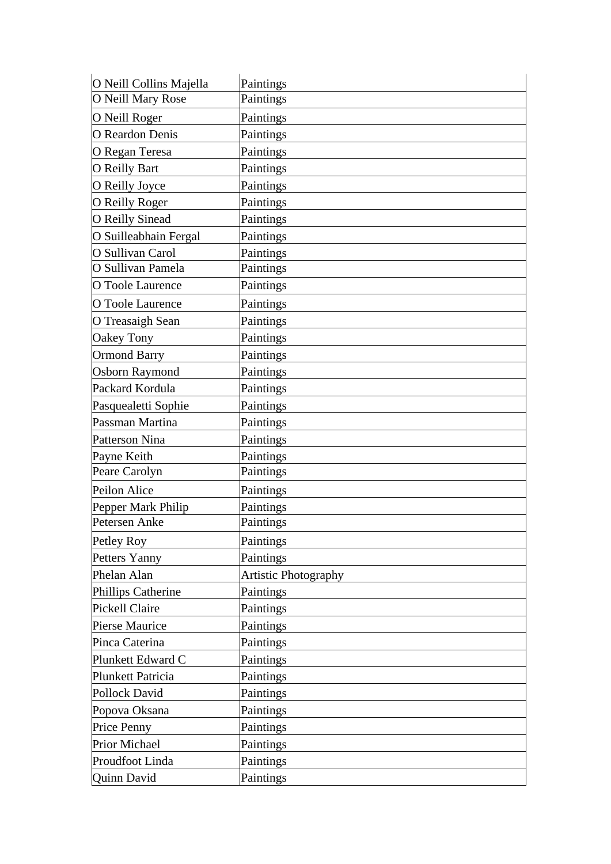| O Neill Collins Majella | Paintings                   |
|-------------------------|-----------------------------|
| O Neill Mary Rose       | Paintings                   |
| O Neill Roger           | Paintings                   |
| O Reardon Denis         | Paintings                   |
| O Regan Teresa          | Paintings                   |
| <b>O</b> Reilly Bart    | Paintings                   |
| O Reilly Joyce          | Paintings                   |
| O Reilly Roger          | Paintings                   |
| <b>O</b> Reilly Sinead  | Paintings                   |
| O Suilleabhain Fergal   | Paintings                   |
| O Sullivan Carol        | Paintings                   |
| O Sullivan Pamela       | Paintings                   |
| O Toole Laurence        | Paintings                   |
| O Toole Laurence        | Paintings                   |
| O Treasaigh Sean        | Paintings                   |
| Oakey Tony              | Paintings                   |
| <b>Ormond Barry</b>     | Paintings                   |
| <b>Osborn Raymond</b>   | Paintings                   |
| Packard Kordula         | Paintings                   |
| Pasquealetti Sophie     | Paintings                   |
| Passman Martina         | Paintings                   |
| Patterson Nina          | Paintings                   |
| Payne Keith             | Paintings                   |
| Peare Carolyn           | Paintings                   |
| Peilon Alice            | Paintings                   |
| Pepper Mark Philip      | Paintings                   |
| Petersen Anke           | Paintings                   |
| Petley Roy              | Paintings                   |
| Petters Yanny           | Paintings                   |
| Phelan Alan             | <b>Artistic Photography</b> |
| Phillips Catherine      | Paintings                   |
| Pickell Claire          | Paintings                   |
| <b>Pierse Maurice</b>   | Paintings                   |
| Pinca Caterina          | Paintings                   |
| Plunkett Edward C       | Paintings                   |
| Plunkett Patricia       | Paintings                   |
| Pollock David           | Paintings                   |
| Popova Oksana           | Paintings                   |
| Price Penny             | Paintings                   |
| <b>Prior Michael</b>    | Paintings                   |
| Proudfoot Linda         | Paintings                   |
| Quinn David             | Paintings                   |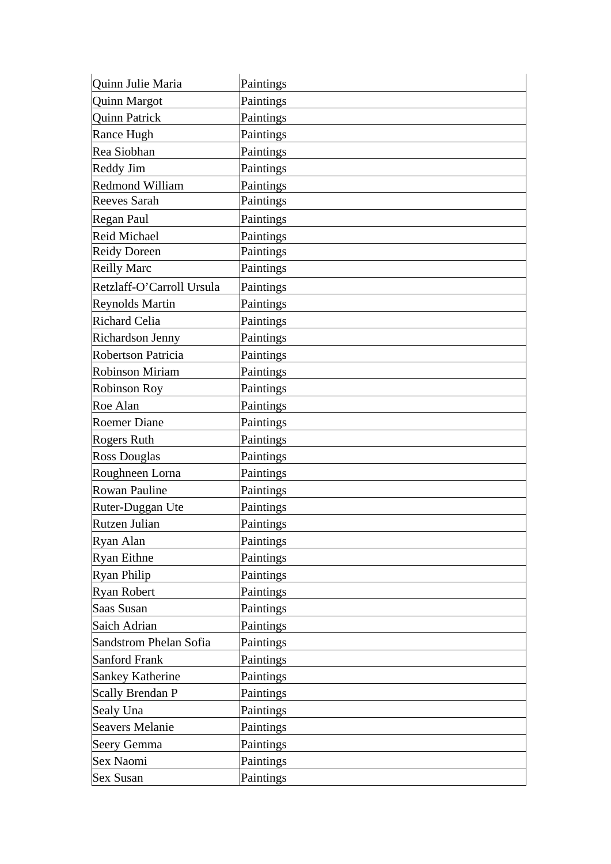| Quinn Julie Maria         | Paintings |
|---------------------------|-----------|
| Quinn Margot              | Paintings |
| <b>Quinn Patrick</b>      | Paintings |
| Rance Hugh                | Paintings |
| Rea Siobhan               | Paintings |
| Reddy Jim                 | Paintings |
| Redmond William           | Paintings |
| <b>Reeves Sarah</b>       | Paintings |
| Regan Paul                | Paintings |
| <b>Reid Michael</b>       | Paintings |
| <b>Reidy Doreen</b>       | Paintings |
| <b>Reilly Marc</b>        | Paintings |
| Retzlaff-O'Carroll Ursula | Paintings |
| <b>Reynolds Martin</b>    | Paintings |
| Richard Celia             | Paintings |
| <b>Richardson Jenny</b>   | Paintings |
| <b>Robertson Patricia</b> | Paintings |
| <b>Robinson Miriam</b>    | Paintings |
| <b>Robinson Roy</b>       | Paintings |
| Roe Alan                  | Paintings |
| <b>Roemer Diane</b>       | Paintings |
| Rogers Ruth               | Paintings |
| <b>Ross Douglas</b>       | Paintings |
| Roughneen Lorna           | Paintings |
| <b>Rowan Pauline</b>      | Paintings |
| Ruter-Duggan Ute          | Paintings |
| Rutzen Julian             | Paintings |
| Ryan Alan                 | Paintings |
| <b>Ryan Eithne</b>        | Paintings |
| <b>Ryan Philip</b>        | Paintings |
| <b>Ryan Robert</b>        | Paintings |
| Saas Susan                | Paintings |
| Saich Adrian              | Paintings |
| Sandstrom Phelan Sofia    | Paintings |
| Sanford Frank             | Paintings |
| Sankey Katherine          | Paintings |
| <b>Scally Brendan P</b>   | Paintings |
| Sealy Una                 | Paintings |
| <b>Seavers Melanie</b>    | Paintings |
| Seery Gemma               | Paintings |
| Sex Naomi                 | Paintings |
| <b>Sex Susan</b>          | Paintings |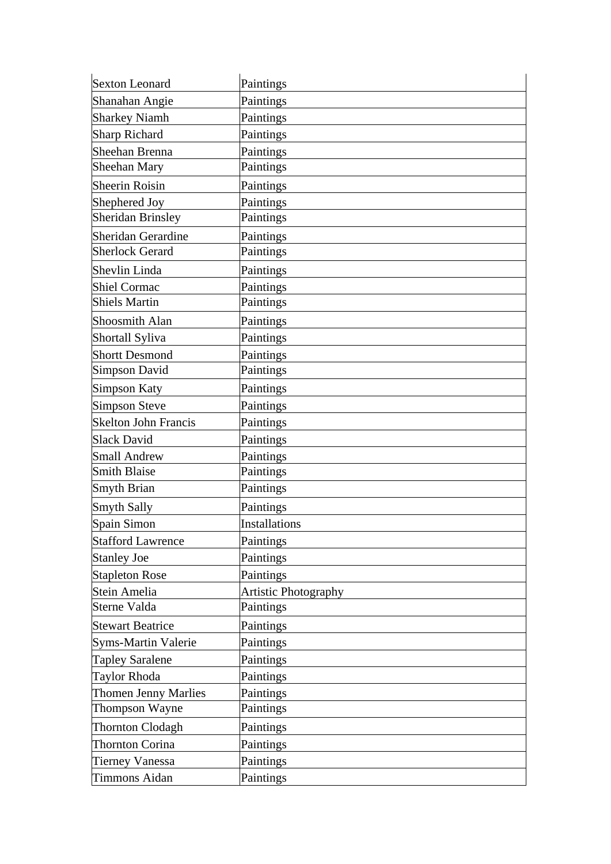| <b>Sexton Leonard</b>       | Paintings                   |
|-----------------------------|-----------------------------|
| Shanahan Angie              | Paintings                   |
| <b>Sharkey Niamh</b>        | Paintings                   |
| Sharp Richard               | Paintings                   |
| Sheehan Brenna              | Paintings                   |
| Sheehan Mary                | Paintings                   |
| Sheerin Roisin              | Paintings                   |
| Shephered Joy               | Paintings                   |
| <b>Sheridan Brinsley</b>    | Paintings                   |
| Sheridan Gerardine          | Paintings                   |
| <b>Sherlock Gerard</b>      | Paintings                   |
| Shevlin Linda               | Paintings                   |
| Shiel Cormac                | Paintings                   |
| <b>Shiels Martin</b>        | Paintings                   |
| Shoosmith Alan              | Paintings                   |
| Shortall Syliva             | Paintings                   |
| <b>Shortt Desmond</b>       | Paintings                   |
| Simpson David               | Paintings                   |
| Simpson Katy                | Paintings                   |
| Simpson Steve               | Paintings                   |
| <b>Skelton John Francis</b> | Paintings                   |
| <b>Slack David</b>          | Paintings                   |
| Small Andrew                | Paintings                   |
| <b>Smith Blaise</b>         | Paintings                   |
| Smyth Brian                 | Paintings                   |
| Smyth Sally                 | Paintings                   |
| Spain Simon                 | <b>Installations</b>        |
| <b>Stafford Lawrence</b>    | Paintings                   |
| <b>Stanley Joe</b>          | Paintings                   |
| <b>Stapleton Rose</b>       | Paintings                   |
| Stein Amelia                | <b>Artistic Photography</b> |
| Sterne Valda                | Paintings                   |
| <b>Stewart Beatrice</b>     | Paintings                   |
| <b>Syms-Martin Valerie</b>  | Paintings                   |
| <b>Tapley Saralene</b>      | Paintings                   |
| <b>Taylor Rhoda</b>         | Paintings                   |
| Thomen Jenny Marlies        | Paintings                   |
| Thompson Wayne              | Paintings                   |
| Thornton Clodagh            | Paintings                   |
| Thornton Corina             | Paintings                   |
| <b>Tierney Vanessa</b>      | Paintings                   |
| <b>Timmons Aidan</b>        | Paintings                   |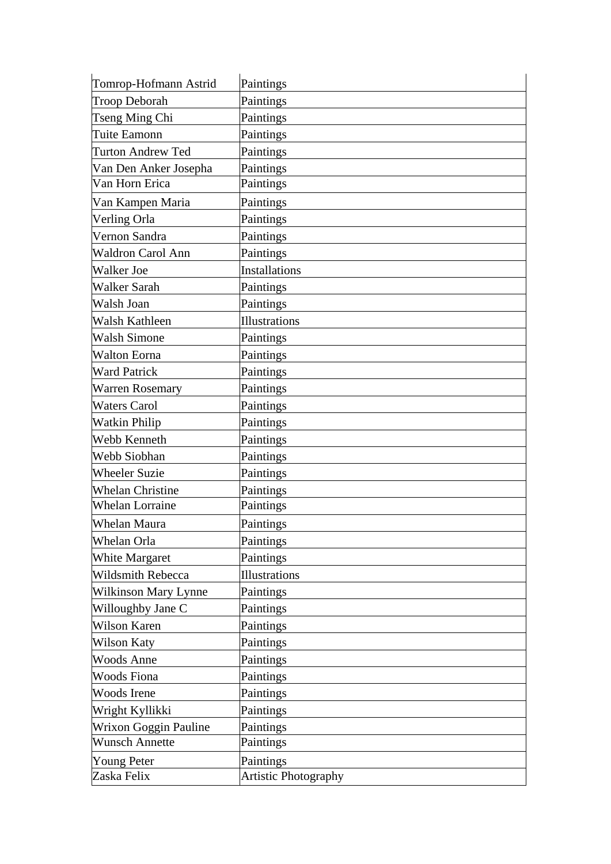| Tomrop-Hofmann Astrid       | Paintings                   |
|-----------------------------|-----------------------------|
| <b>Troop Deborah</b>        | Paintings                   |
| Tseng Ming Chi              | Paintings                   |
| Tuite Eamonn                | Paintings                   |
| <b>Turton Andrew Ted</b>    | Paintings                   |
| Van Den Anker Josepha       | Paintings                   |
| Van Horn Erica              | Paintings                   |
| Van Kampen Maria            | Paintings                   |
| Verling Orla                | Paintings                   |
| Vernon Sandra               | Paintings                   |
| Waldron Carol Ann           | Paintings                   |
| <b>Walker Joe</b>           | <b>Installations</b>        |
| <b>Walker Sarah</b>         | Paintings                   |
| Walsh Joan                  | Paintings                   |
| Walsh Kathleen              | Illustrations               |
| <b>Walsh Simone</b>         | Paintings                   |
| <b>Walton Eorna</b>         | Paintings                   |
| <b>Ward Patrick</b>         | Paintings                   |
| <b>Warren Rosemary</b>      | Paintings                   |
| <b>Waters Carol</b>         | Paintings                   |
| <b>Watkin Philip</b>        | Paintings                   |
| Webb Kenneth                | Paintings                   |
| Webb Siobhan                | Paintings                   |
| <b>Wheeler Suzie</b>        | Paintings                   |
| <b>Whelan Christine</b>     | Paintings                   |
| <b>Whelan Lorraine</b>      | Paintings                   |
| Whelan Maura                | Paintings                   |
| Whelan Orla                 | Paintings                   |
| <b>White Margaret</b>       | Paintings                   |
| <b>Wildsmith Rebecca</b>    | Illustrations               |
| <b>Wilkinson Mary Lynne</b> | Paintings                   |
| Willoughby Jane C           | Paintings                   |
| <b>Wilson Karen</b>         | Paintings                   |
| <b>Wilson Katy</b>          | Paintings                   |
| <b>Woods Anne</b>           | Paintings                   |
| <b>Woods Fiona</b>          | Paintings                   |
| <b>Woods</b> Irene          | Paintings                   |
| Wright Kyllikki             | Paintings                   |
| Wrixon Goggin Pauline       | Paintings                   |
| <b>Wunsch Annette</b>       | Paintings                   |
| <b>Young Peter</b>          | Paintings                   |
| Zaska Felix                 | <b>Artistic Photography</b> |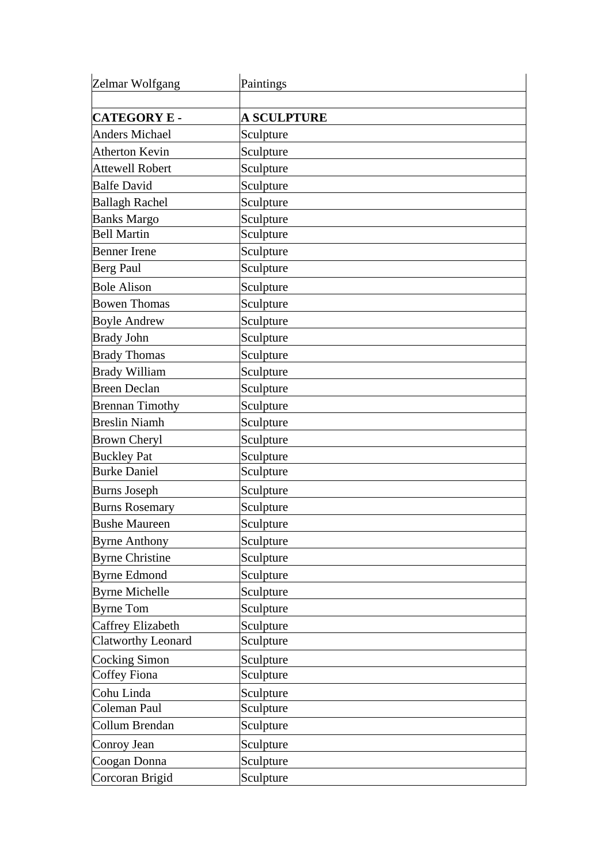| Zelmar Wolfgang           | Paintings          |
|---------------------------|--------------------|
|                           |                    |
| <b>CATEGORY E -</b>       | <b>A SCULPTURE</b> |
| <b>Anders Michael</b>     | Sculpture          |
| Atherton Kevin            | Sculpture          |
| <b>Attewell Robert</b>    | Sculpture          |
| <b>Balfe David</b>        | Sculpture          |
| <b>Ballagh Rachel</b>     | Sculpture          |
| <b>Banks Margo</b>        | Sculpture          |
| <b>Bell Martin</b>        | Sculpture          |
| <b>Benner</b> Irene       | Sculpture          |
| Berg Paul                 | Sculpture          |
| <b>Bole Alison</b>        | Sculpture          |
| <b>Bowen Thomas</b>       | Sculpture          |
| <b>Boyle Andrew</b>       | Sculpture          |
| <b>Brady John</b>         | Sculpture          |
| <b>Brady Thomas</b>       | Sculpture          |
| <b>Brady William</b>      | Sculpture          |
| <b>Breen Declan</b>       | Sculpture          |
| <b>Brennan Timothy</b>    | Sculpture          |
| <b>Breslin Niamh</b>      | Sculpture          |
| <b>Brown Cheryl</b>       | Sculpture          |
| <b>Buckley Pat</b>        | Sculpture          |
| <b>Burke Daniel</b>       | Sculpture          |
| <b>Burns Joseph</b>       | Sculpture          |
| <b>Burns Rosemary</b>     | Sculpture          |
| <b>Bushe Maureen</b>      | Sculpture          |
| <b>Byrne Anthony</b>      | Sculpture          |
| <b>Byrne Christine</b>    | Sculpture          |
| <b>Byrne Edmond</b>       | Sculpture          |
| <b>Byrne Michelle</b>     | Sculpture          |
| <b>Byrne Tom</b>          | Sculpture          |
| <b>Caffrey Elizabeth</b>  | Sculpture          |
| <b>Clatworthy Leonard</b> | Sculpture          |
| Cocking Simon             | Sculpture          |
| Coffey Fiona              | Sculpture          |
| Cohu Linda                | Sculpture          |
| Coleman Paul              | Sculpture          |
| Collum Brendan            | Sculpture          |
| Conroy Jean               | Sculpture          |
| Coogan Donna              | Sculpture          |
| Corcoran Brigid           | Sculpture          |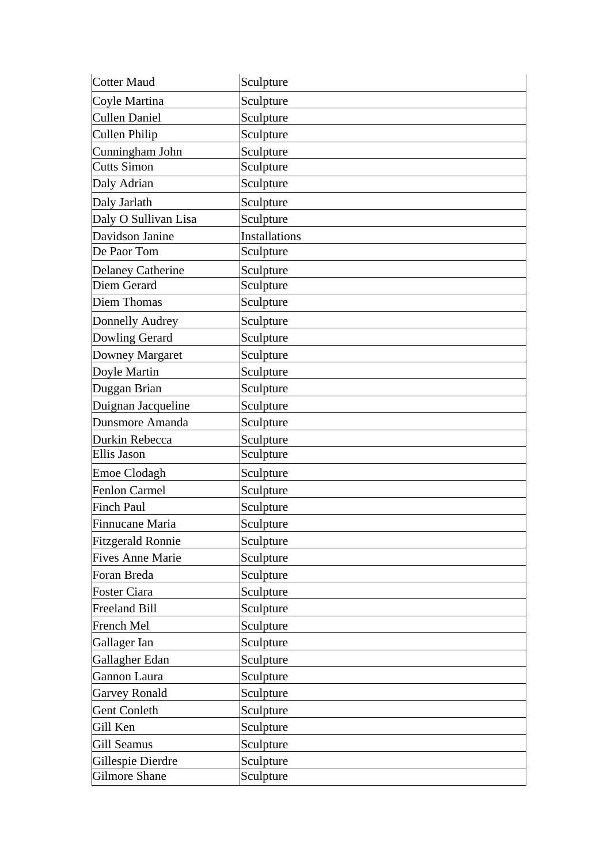| Cotter Maud              | Sculpture            |
|--------------------------|----------------------|
| Coyle Martina            | Sculpture            |
| <b>Cullen Daniel</b>     | Sculpture            |
| Cullen Philip            | Sculpture            |
| Cunningham John          | Sculpture            |
| <b>Cutts Simon</b>       | Sculpture            |
| Daly Adrian              | Sculpture            |
| Daly Jarlath             | Sculpture            |
| Daly O Sullivan Lisa     | Sculpture            |
| Davidson Janine          | <b>Installations</b> |
| De Paor Tom              | Sculpture            |
| <b>Delaney Catherine</b> | Sculpture            |
| Diem Gerard              | Sculpture            |
| Diem Thomas              | Sculpture            |
| Donnelly Audrey          | Sculpture            |
| Dowling Gerard           | Sculpture            |
| Downey Margaret          | Sculpture            |
| Doyle Martin             | Sculpture            |
| Duggan Brian             | Sculpture            |
| Duignan Jacqueline       | Sculpture            |
| Dunsmore Amanda          | Sculpture            |
| Durkin Rebecca           | Sculpture            |
| Ellis Jason              | Sculpture            |
| Emoe Clodagh             | Sculpture            |
| Fenlon Carmel            | Sculpture            |
| <b>Finch Paul</b>        | Sculpture            |
| Finnucane Maria          | Sculpture            |
| <b>Fitzgerald Ronnie</b> | Sculpture            |
| <b>Fives Anne Marie</b>  | Sculpture            |
| Foran Breda              | Sculpture            |
| <b>Foster Ciara</b>      | Sculpture            |
| <b>Freeland Bill</b>     | Sculpture            |
| <b>French Mel</b>        | Sculpture            |
| Gallager Ian             | Sculpture            |
| Gallagher Edan           | Sculpture            |
| Gannon Laura             | Sculpture            |
| <b>Garvey Ronald</b>     | Sculpture            |
| <b>Gent Conleth</b>      | Sculpture            |
| Gill Ken                 | Sculpture            |
| Gill Seamus              | Sculpture            |
| Gillespie Dierdre        | Sculpture            |
| Gilmore Shane            | Sculpture            |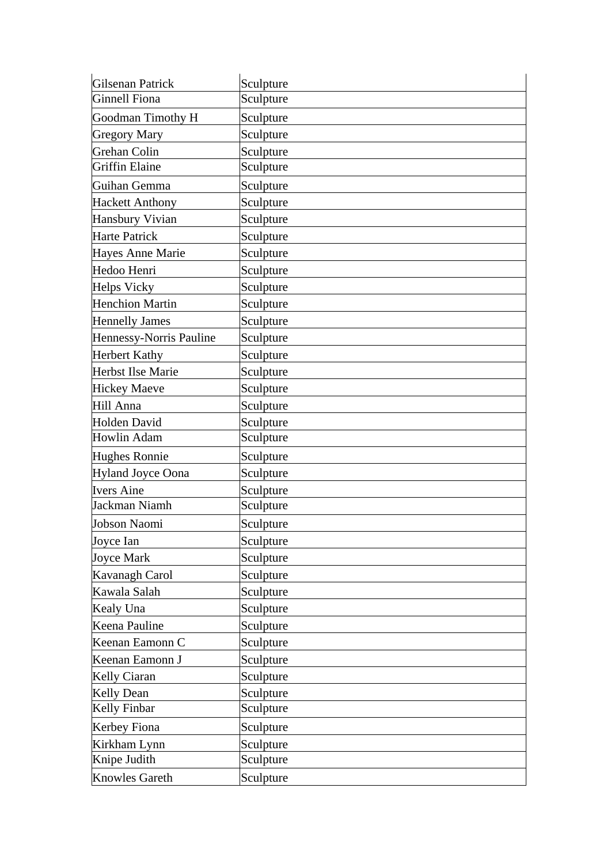| Gilsenan Patrick         | Sculpture |
|--------------------------|-----------|
| Ginnell Fiona            | Sculpture |
| Goodman Timothy H        | Sculpture |
| <b>Gregory Mary</b>      | Sculpture |
| Grehan Colin             | Sculpture |
| Griffin Elaine           | Sculpture |
| Guihan Gemma             | Sculpture |
| <b>Hackett Anthony</b>   | Sculpture |
| Hansbury Vivian          | Sculpture |
| Harte Patrick            | Sculpture |
| <b>Hayes Anne Marie</b>  | Sculpture |
| Hedoo Henri              | Sculpture |
| <b>Helps Vicky</b>       | Sculpture |
| <b>Henchion Martin</b>   | Sculpture |
| <b>Hennelly James</b>    | Sculpture |
| Hennessy-Norris Pauline  | Sculpture |
| <b>Herbert Kathy</b>     | Sculpture |
| <b>Herbst Ilse Marie</b> | Sculpture |
| <b>Hickey Maeve</b>      | Sculpture |
| Hill Anna                | Sculpture |
| Holden David             | Sculpture |
| Howlin Adam              | Sculpture |
| <b>Hughes Ronnie</b>     | Sculpture |
| <b>Hyland Joyce Oona</b> | Sculpture |
| <b>Ivers Aine</b>        | Sculpture |
| Jackman Niamh            | Sculpture |
| Jobson Naomi             | Sculpture |
| Joyce Ian                | Sculpture |
| Joyce Mark               | Sculpture |
| Kavanagh Carol           | Sculpture |
| Kawala Salah             | Sculpture |
| Kealy Una                | Sculpture |
| Keena Pauline            | Sculpture |
| Keenan Eamonn C          | Sculpture |
| Keenan Eamonn J          | Sculpture |
| <b>Kelly Ciaran</b>      | Sculpture |
| <b>Kelly Dean</b>        | Sculpture |
| <b>Kelly Finbar</b>      | Sculpture |
| Kerbey Fiona             | Sculpture |
| Kirkham Lynn             | Sculpture |
| Knipe Judith             | Sculpture |
| <b>Knowles Gareth</b>    | Sculpture |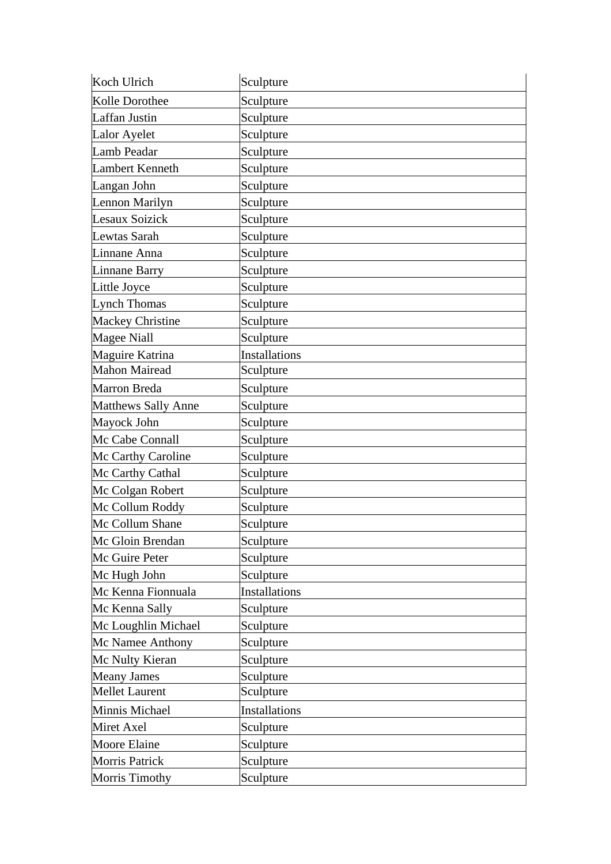| Koch Ulrich                | Sculpture            |
|----------------------------|----------------------|
| Kolle Dorothee             | Sculpture            |
| Laffan Justin              | Sculpture            |
| Lalor Ayelet               | Sculpture            |
| Lamb Peadar                | Sculpture            |
| Lambert Kenneth            | Sculpture            |
| Langan John                | Sculpture            |
| Lennon Marilyn             | Sculpture            |
| Lesaux Soizick             | Sculpture            |
| Lewtas Sarah               | Sculpture            |
| Linnane Anna               | Sculpture            |
| Linnane Barry              | Sculpture            |
| Little Joyce               | Sculpture            |
| Lynch Thomas               | Sculpture            |
| <b>Mackey Christine</b>    | Sculpture            |
| Magee Niall                | Sculpture            |
| Maguire Katrina            | <b>Installations</b> |
| <b>Mahon Mairead</b>       | Sculpture            |
| Marron Breda               | Sculpture            |
| <b>Matthews Sally Anne</b> | Sculpture            |
| Mayock John                | Sculpture            |
| Mc Cabe Connall            | Sculpture            |
| Mc Carthy Caroline         | Sculpture            |
| Mc Carthy Cathal           | Sculpture            |
| Mc Colgan Robert           | Sculpture            |
| Mc Collum Roddy            | Sculpture            |
| Mc Collum Shane            | Sculpture            |
| Mc Gloin Brendan           | Sculpture            |
| Mc Guire Peter             | Sculpture            |
| Mc Hugh John               | Sculpture            |
| Mc Kenna Fionnuala         | <b>Installations</b> |
| Mc Kenna Sally             | Sculpture            |
| Mc Loughlin Michael        | Sculpture            |
| Mc Namee Anthony           | Sculpture            |
| Mc Nulty Kieran            | Sculpture            |
| <b>Meany James</b>         | Sculpture            |
| <b>Mellet Laurent</b>      | Sculpture            |
| Minnis Michael             | Installations        |
| Miret Axel                 | Sculpture            |
| Moore Elaine               | Sculpture            |
| <b>Morris Patrick</b>      | Sculpture            |
| <b>Morris Timothy</b>      | Sculpture            |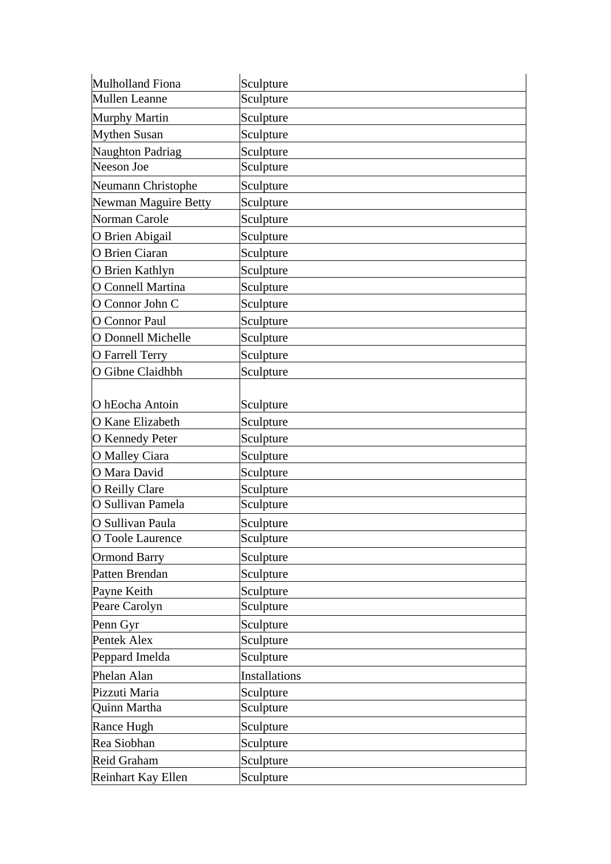| Mulholland Fiona          | Sculpture            |
|---------------------------|----------------------|
| <b>Mullen Leanne</b>      | Sculpture            |
| Murphy Martin             | Sculpture            |
| <b>Mythen Susan</b>       | Sculpture            |
| Naughton Padriag          | Sculpture            |
| Neeson Joe                | Sculpture            |
| Neumann Christophe        | Sculpture            |
| Newman Maguire Betty      | Sculpture            |
| Norman Carole             | Sculpture            |
| O Brien Abigail           | Sculpture            |
| O Brien Ciaran            | Sculpture            |
| O Brien Kathlyn           | Sculpture            |
| O Connell Martina         | Sculpture            |
| O Connor John C           | Sculpture            |
| O Connor Paul             | Sculpture            |
| <b>O</b> Donnell Michelle | Sculpture            |
| O Farrell Terry           | Sculpture            |
| O Gibne Claidhbh          | Sculpture            |
|                           |                      |
| O hEocha Antoin           | Sculpture            |
| <b>O</b> Kane Elizabeth   | Sculpture            |
| <b>O</b> Kennedy Peter    | Sculpture            |
| O Malley Ciara            | Sculpture            |
| O Mara David              | Sculpture            |
| O Reilly Clare            | Sculpture            |
| O Sullivan Pamela         | Sculpture            |
| O Sullivan Paula          | Sculpture            |
| O Toole Laurence          | Sculpture            |
| <b>Ormond Barry</b>       | Sculpture            |
| Patten Brendan            | Sculpture            |
| Payne Keith               | Sculpture            |
| Peare Carolyn             | Sculpture            |
| Penn Gyr                  | Sculpture            |
| Pentek Alex               | Sculpture            |
| Peppard Imelda            | Sculpture            |
| Phelan Alan               | <b>Installations</b> |
| Pizzuti Maria             | Sculpture            |
| Quinn Martha              | Sculpture            |
| Rance Hugh                | Sculpture            |
| Rea Siobhan               | Sculpture            |
| Reid Graham               | Sculpture            |
| Reinhart Kay Ellen        | Sculpture            |